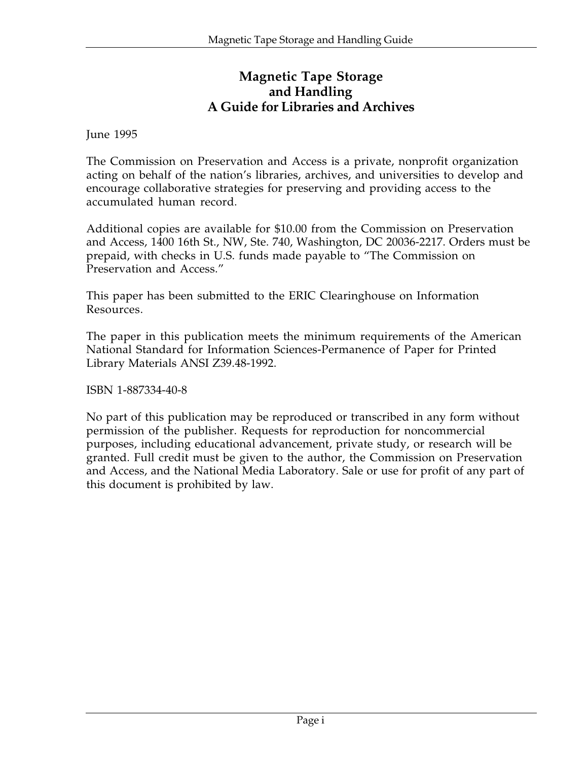# **Magnetic Tape Storage and Handling A Guide for Libraries and Archives**

June 1995

The Commission on Preservation and Access is a private, nonprofit organization acting on behalf of the nation's libraries, archives, and universities to develop and encourage collaborative strategies for preserving and providing access to the accumulated human record.

Additional copies are available for \$10.00 from the Commission on Preservation and Access, 1400 16th St., NW, Ste. 740, Washington, DC 20036-2217. Orders must be prepaid, with checks in U.S. funds made payable to "The Commission on Preservation and Access."

This paper has been submitted to the ERIC Clearinghouse on Information Resources.

The paper in this publication meets the minimum requirements of the American National Standard for Information Sciences-Permanence of Paper for Printed Library Materials ANSI Z39.48-1992.

ISBN 1-887334-40-8

No part of this publication may be reproduced or transcribed in any form without permission of the publisher. Requests for reproduction for noncommercial purposes, including educational advancement, private study, or research will be granted. Full credit must be given to the author, the Commission on Preservation and Access, and the National Media Laboratory. Sale or use for profit of any part of this document is prohibited by law.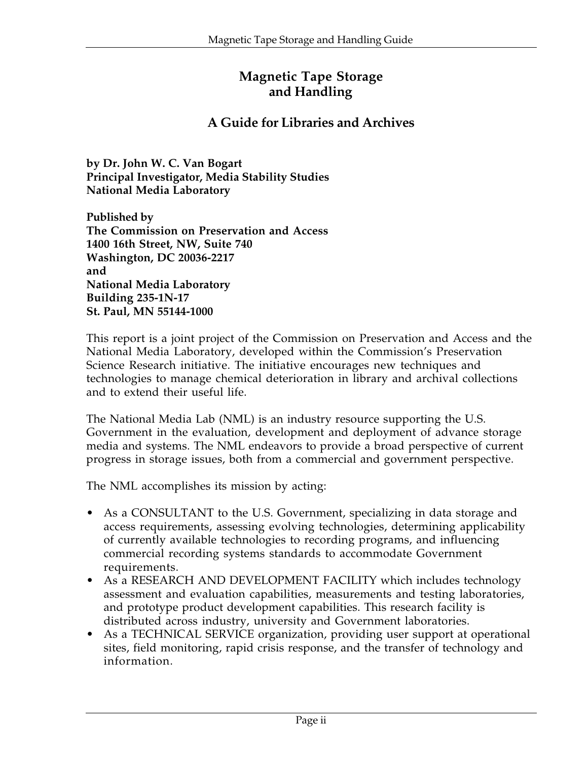# **Magnetic Tape Storage and Handling**

# **A Guide for Libraries and Archives**

**by Dr. John W. C. Van Bogart Principal Investigator, Media Stability Studies National Media Laboratory**

**Published by The Commission on Preservation and Access 1400 16th Street, NW, Suite 740 Washington, DC 20036-2217 and National Media Laboratory Building 235-1N-17 St. Paul, MN 55144-1000**

This report is a joint project of the Commission on Preservation and Access and the National Media Laboratory, developed within the Commission's Preservation Science Research initiative. The initiative encourages new techniques and technologies to manage chemical deterioration in library and archival collections and to extend their useful life.

The National Media Lab (NML) is an industry resource supporting the U.S. Government in the evaluation, development and deployment of advance storage media and systems. The NML endeavors to provide a broad perspective of current progress in storage issues, both from a commercial and government perspective.

The NML accomplishes its mission by acting:

- As a CONSULTANT to the U.S. Government, specializing in data storage and access requirements, assessing evolving technologies, determining applicability of currently available technologies to recording programs, and influencing commercial recording systems standards to accommodate Government requirements.
- As a RESEARCH AND DEVELOPMENT FACILITY which includes technology assessment and evaluation capabilities, measurements and testing laboratories, and prototype product development capabilities. This research facility is distributed across industry, university and Government laboratories.
- As a TECHNICAL SERVICE organization, providing user support at operational sites, field monitoring, rapid crisis response, and the transfer of technology and information.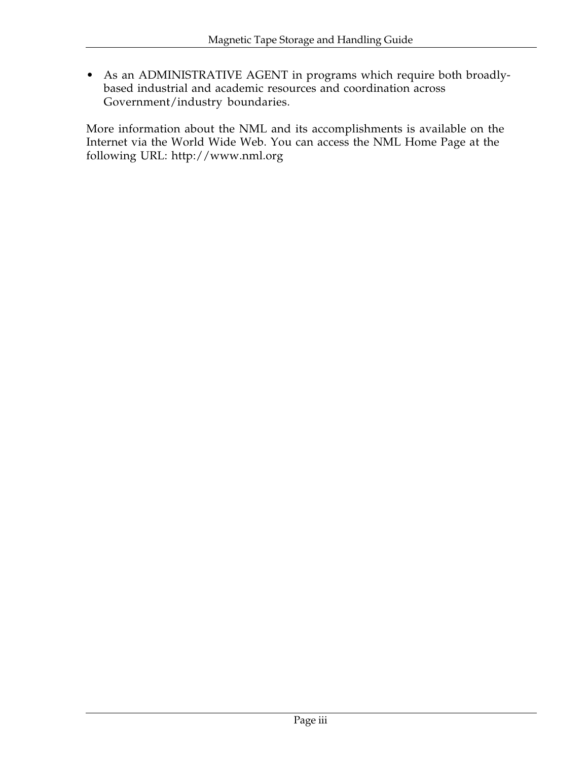• As an ADMINISTRATIVE AGENT in programs which require both broadlybased industrial and academic resources and coordination across Government/industry boundaries.

More information about the NML and its accomplishments is available on the Internet via the World Wide Web. You can access the NML Home Page at the following URL: http://www.nml.org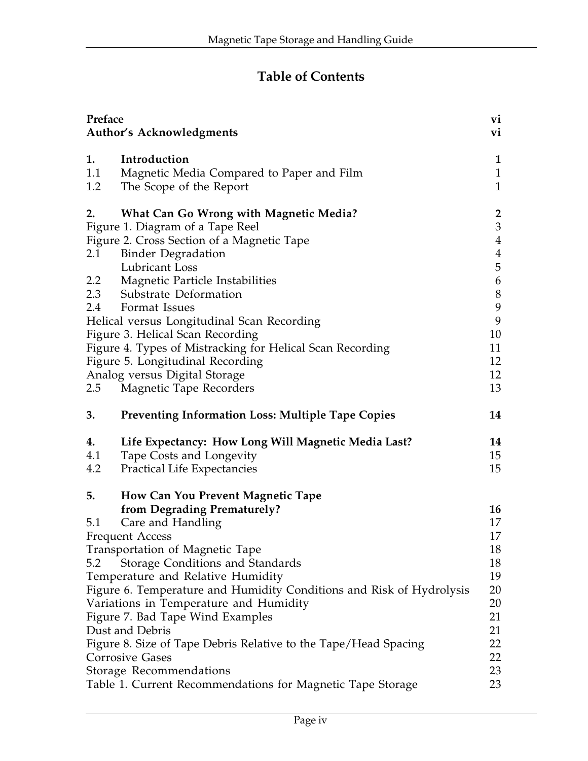# **Table of Contents**

| Preface |                                                                                       |                |
|---------|---------------------------------------------------------------------------------------|----------------|
|         | <b>Author's Acknowledgments</b>                                                       | vi             |
| 1.      | Introduction                                                                          | $\mathbf{1}$   |
| 1.1     | Magnetic Media Compared to Paper and Film                                             | $\mathbf{1}$   |
| 1.2     | The Scope of the Report                                                               | $\mathbf{1}$   |
| 2.      | <b>What Can Go Wrong with Magnetic Media?</b>                                         | $\overline{2}$ |
|         | Figure 1. Diagram of a Tape Reel                                                      | $\mathfrak{Z}$ |
|         | Figure 2. Cross Section of a Magnetic Tape                                            | $\overline{4}$ |
|         | 2.1 Binder Degradation                                                                | $\overline{4}$ |
|         | Lubricant Loss                                                                        | 5              |
| 2.2     | Magnetic Particle Instabilities                                                       | 6              |
| 2.3     | Substrate Deformation                                                                 | $8\,$          |
| 2.4     | <b>Format Issues</b>                                                                  | $\mathbf{9}$   |
|         | Helical versus Longitudinal Scan Recording                                            | 9              |
|         | Figure 3. Helical Scan Recording                                                      | 10             |
|         | Figure 4. Types of Mistracking for Helical Scan Recording                             | 11             |
|         | Figure 5. Longitudinal Recording                                                      | 12             |
|         | Analog versus Digital Storage                                                         | 12             |
| 2.5     | <b>Magnetic Tape Recorders</b>                                                        | 13             |
| 3.      | <b>Preventing Information Loss: Multiple Tape Copies</b>                              | 14             |
|         |                                                                                       |                |
| 4.      | Life Expectancy: How Long Will Magnetic Media Last?                                   | 14             |
| 4.1     | Tape Costs and Longevity                                                              | 15             |
| 4.2     | <b>Practical Life Expectancies</b>                                                    | 15             |
| 5.      | How Can You Prevent Magnetic Tape                                                     |                |
|         | from Degrading Prematurely?                                                           | 16             |
| 5.1     | Care and Handling                                                                     | 17             |
|         | <b>Frequent Access</b>                                                                | 17             |
|         | Transportation of Magnetic Tape                                                       | 18             |
| 5.2     | <b>Storage Conditions and Standards</b>                                               | 18             |
|         | Temperature and Relative Humidity                                                     | 19             |
|         | Figure 6. Temperature and Humidity Conditions and Risk of Hydrolysis                  | 20             |
|         | Variations in Temperature and Humidity                                                | 20             |
|         | Figure 7. Bad Tape Wind Examples                                                      | 21             |
|         | Dust and Debris                                                                       | 21             |
|         | Figure 8. Size of Tape Debris Relative to the Tape/Head Spacing                       | 22             |
|         | <b>Corrosive Gases</b>                                                                | 22             |
|         | Storage Recommendations<br>Table 1. Current Recommendations for Magnetic Tape Storage | 23<br>23       |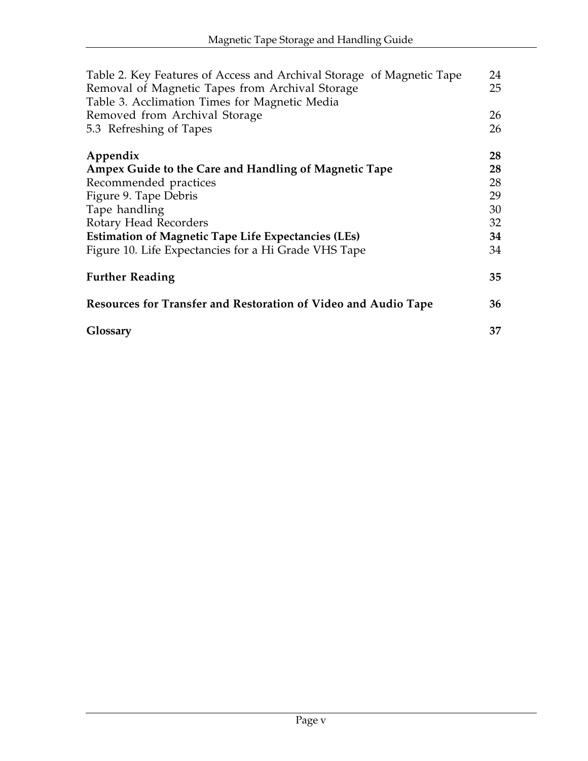| Table 2. Key Features of Access and Archival Storage of Magnetic Tape<br>Removal of Magnetic Tapes from Archival Storage<br>Table 3. Acclimation Times for Magnetic Media |    |  |
|---------------------------------------------------------------------------------------------------------------------------------------------------------------------------|----|--|
| Removed from Archival Storage                                                                                                                                             | 26 |  |
| 5.3 Refreshing of Tapes                                                                                                                                                   | 26 |  |
| Appendix                                                                                                                                                                  | 28 |  |
| Ampex Guide to the Care and Handling of Magnetic Tape                                                                                                                     |    |  |
| Recommended practices                                                                                                                                                     | 28 |  |
| Figure 9. Tape Debris                                                                                                                                                     |    |  |
| Tape handling                                                                                                                                                             |    |  |
| Rotary Head Recorders                                                                                                                                                     | 32 |  |
| <b>Estimation of Magnetic Tape Life Expectancies (LEs)</b>                                                                                                                |    |  |
| Figure 10. Life Expectancies for a Hi Grade VHS Tape                                                                                                                      | 34 |  |
| <b>Further Reading</b>                                                                                                                                                    |    |  |
| Resources for Transfer and Restoration of Video and Audio Tape                                                                                                            |    |  |
| Glossary                                                                                                                                                                  | 37 |  |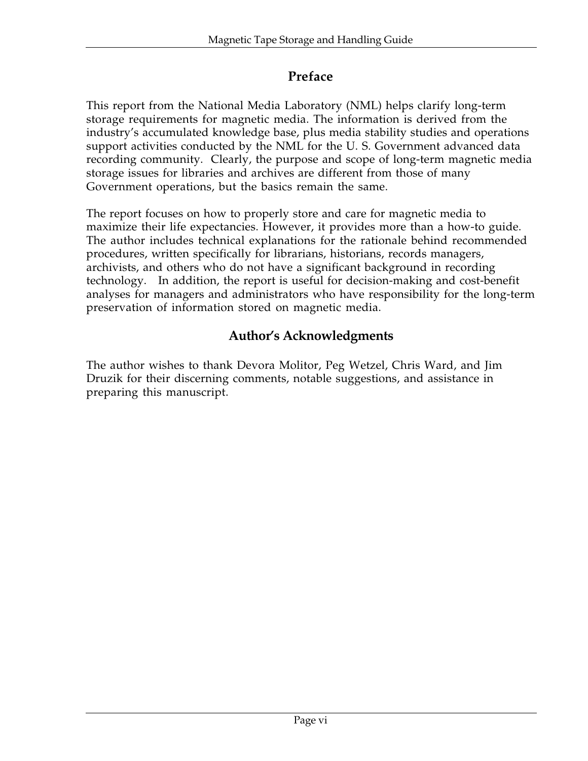# **Preface**

This report from the National Media Laboratory (NML) helps clarify long-term storage requirements for magnetic media. The information is derived from the industry's accumulated knowledge base, plus media stability studies and operations support activities conducted by the NML for the U. S. Government advanced data recording community. Clearly, the purpose and scope of long-term magnetic media storage issues for libraries and archives are different from those of many Government operations, but the basics remain the same.

The report focuses on how to properly store and care for magnetic media to maximize their life expectancies. However, it provides more than a how-to guide. The author includes technical explanations for the rationale behind recommended procedures, written specifically for librarians, historians, records managers, archivists, and others who do not have a significant background in recording technology. In addition, the report is useful for decision-making and cost-benefit analyses for managers and administrators who have responsibility for the long-term preservation of information stored on magnetic media.

# **Author's Acknowledgments**

The author wishes to thank Devora Molitor, Peg Wetzel, Chris Ward, and Jim Druzik for their discerning comments, notable suggestions, and assistance in preparing this manuscript.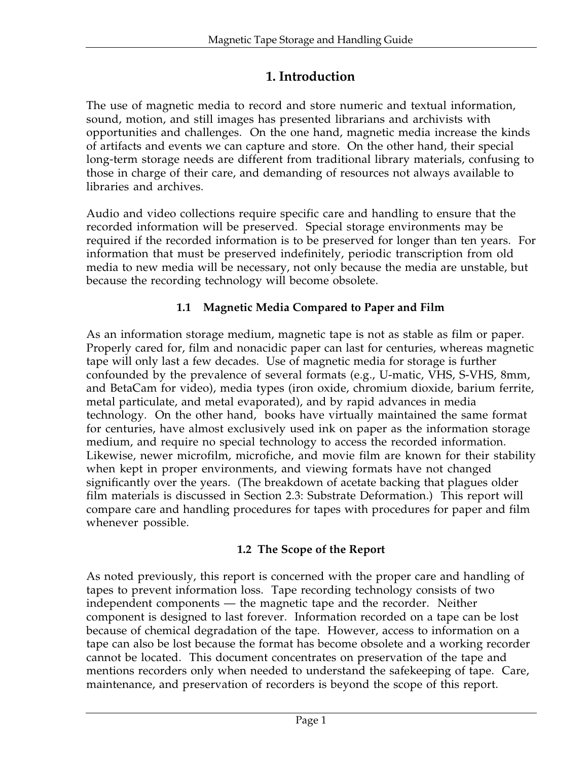# **1. Introduction**

The use of magnetic media to record and store numeric and textual information, sound, motion, and still images has presented librarians and archivists with opportunities and challenges. On the one hand, magnetic media increase the kinds of artifacts and events we can capture and store. On the other hand, their special long-term storage needs are different from traditional library materials, confusing to those in charge of their care, and demanding of resources not always available to libraries and archives.

Audio and video collections require specific care and handling to ensure that the recorded information will be preserved. Special storage environments may be required if the recorded information is to be preserved for longer than ten years. For information that must be preserved indefinitely, periodic transcription from old media to new media will be necessary, not only because the media are unstable, but because the recording technology will become obsolete.

### **1.1 Magnetic Media Compared to Paper and Film**

As an information storage medium, magnetic tape is not as stable as film or paper. Properly cared for, film and nonacidic paper can last for centuries, whereas magnetic tape will only last a few decades. Use of magnetic media for storage is further confounded by the prevalence of several formats (e.g., U-matic, VHS, S-VHS, 8mm, and BetaCam for video), media types (iron oxide, chromium dioxide, barium ferrite, metal particulate, and metal evaporated), and by rapid advances in media technology. On the other hand, books have virtually maintained the same format for centuries, have almost exclusively used ink on paper as the information storage medium, and require no special technology to access the recorded information. Likewise, newer microfilm, microfiche, and movie film are known for their stability when kept in proper environments, and viewing formats have not changed significantly over the years. (The breakdown of acetate backing that plagues older film materials is discussed in Section 2.3: Substrate Deformation.) This report will compare care and handling procedures for tapes with procedures for paper and film whenever possible.

### **1.2 The Scope of the Report**

As noted previously, this report is concerned with the proper care and handling of tapes to prevent information loss. Tape recording technology consists of two independent components — the magnetic tape and the recorder. Neither component is designed to last forever. Information recorded on a tape can be lost because of chemical degradation of the tape. However, access to information on a tape can also be lost because the format has become obsolete and a working recorder cannot be located. This document concentrates on preservation of the tape and mentions recorders only when needed to understand the safekeeping of tape. Care, maintenance, and preservation of recorders is beyond the scope of this report.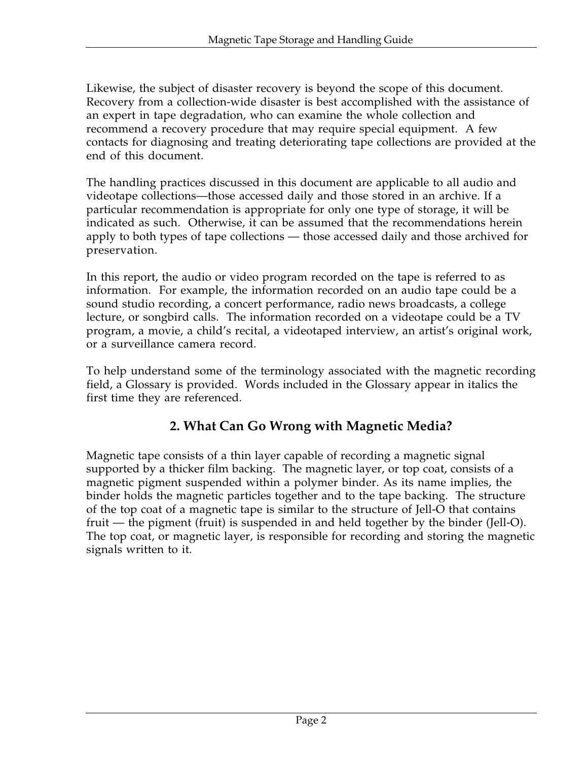Likewise, the subject of disaster recovery is beyond the scope of this document. Recovery from a collection-wide disaster is best accomplished with the assistance of an expert in tape degradation, who can examine the whole collection and recommend a recovery procedure that may require special equipment. A few contacts for diagnosing and treating deteriorating tape collections are provided at the end of this document.

The handling practices discussed in this document are applicable to all audio and videotape collections—those accessed daily and those stored in an archive. If a particular recommendation is appropriate for only one type of storage, it will be indicated as such. Otherwise, it can be assumed that the recommendations herein apply to both types of tape collections — those accessed daily and those archived for preservation.

In this report, the audio or video program recorded on the tape is referred to as information. For example, the information recorded on an audio tape could be a sound studio recording, a concert performance, radio news broadcasts, a college lecture, or songbird calls. The information recorded on a videotape could be a TV program, a movie, a child's recital, a videotaped interview, an artist's original work, or a surveillance camera record.

To help understand some of the terminology associated with the magnetic recording field, a Glossary is provided. Words included in the Glossary appear in italics the first time they are referenced.

# **2. What Can Go Wrong with Magnetic Media?**

Magnetic tape consists of a thin layer capable of recording a magnetic signal supported by a thicker film backing. The magnetic layer, or top coat, consists of a magnetic pigment suspended within a polymer binder. As its name implies, the binder holds the magnetic particles together and to the tape backing. The structure of the top coat of a magnetic tape is similar to the structure of Jell-O that contains fruit — the pigment (fruit) is suspended in and held together by the binder (Jell-O). The top coat, or magnetic layer, is responsible for recording and storing the magnetic signals written to it.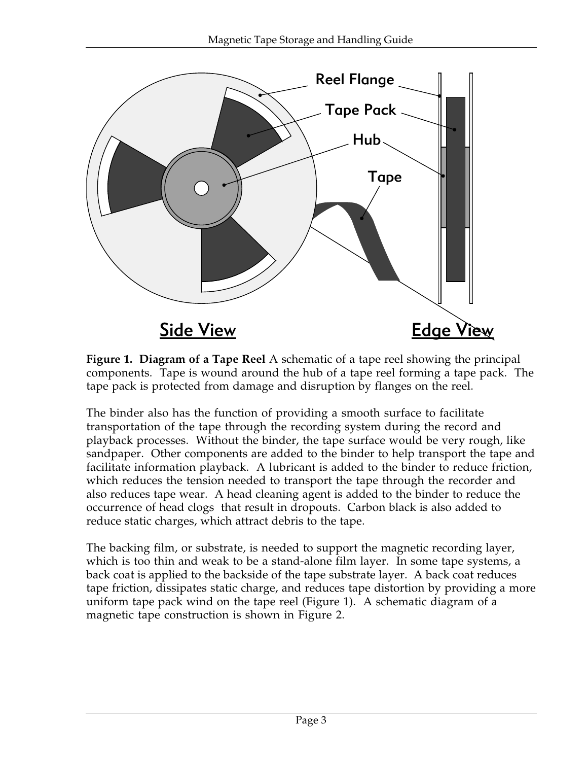

**Figure 1. Diagram of a Tape Reel** A schematic of a tape reel showing the principal components. Tape is wound around the hub of a tape reel forming a tape pack. The tape pack is protected from damage and disruption by flanges on the reel.

The binder also has the function of providing a smooth surface to facilitate transportation of the tape through the recording system during the record and playback processes. Without the binder, the tape surface would be very rough, like sandpaper. Other components are added to the binder to help transport the tape and facilitate information playback. A lubricant is added to the binder to reduce friction, which reduces the tension needed to transport the tape through the recorder and also reduces tape wear. A head cleaning agent is added to the binder to reduce the occurrence of head clogs that result in dropouts. Carbon black is also added to reduce static charges, which attract debris to the tape.

The backing film, or substrate, is needed to support the magnetic recording layer, which is too thin and weak to be a stand-alone film layer. In some tape systems, a back coat is applied to the backside of the tape substrate layer. A back coat reduces tape friction, dissipates static charge, and reduces tape distortion by providing a more uniform tape pack wind on the tape reel (Figure 1). A schematic diagram of a magnetic tape construction is shown in Figure 2.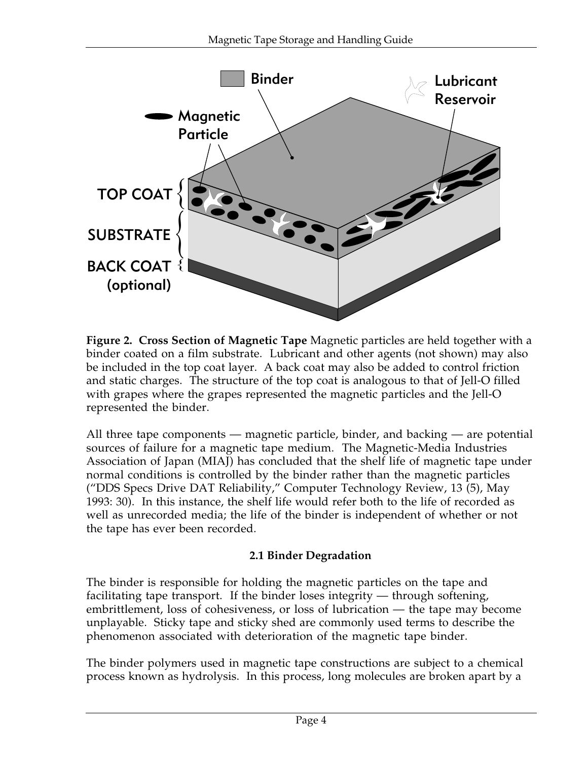

**Figure 2. Cross Section of Magnetic Tape** Magnetic particles are held together with a binder coated on a film substrate. Lubricant and other agents (not shown) may also be included in the top coat layer. A back coat may also be added to control friction and static charges. The structure of the top coat is analogous to that of Jell-O filled with grapes where the grapes represented the magnetic particles and the Jell-O represented the binder.

All three tape components — magnetic particle, binder, and backing — are potential sources of failure for a magnetic tape medium. The Magnetic-Media Industries Association of Japan (MIAJ) has concluded that the shelf life of magnetic tape under normal conditions is controlled by the binder rather than the magnetic particles ("DDS Specs Drive DAT Reliability," Computer Technology Review, 13 (5), May 1993: 30). In this instance, the shelf life would refer both to the life of recorded as well as unrecorded media; the life of the binder is independent of whether or not the tape has ever been recorded.

### **2.1 Binder Degradation**

The binder is responsible for holding the magnetic particles on the tape and facilitating tape transport. If the binder loses integrity — through softening, embrittlement, loss of cohesiveness, or loss of lubrication — the tape may become unplayable. Sticky tape and sticky shed are commonly used terms to describe the phenomenon associated with deterioration of the magnetic tape binder.

The binder polymers used in magnetic tape constructions are subject to a chemical process known as hydrolysis. In this process, long molecules are broken apart by a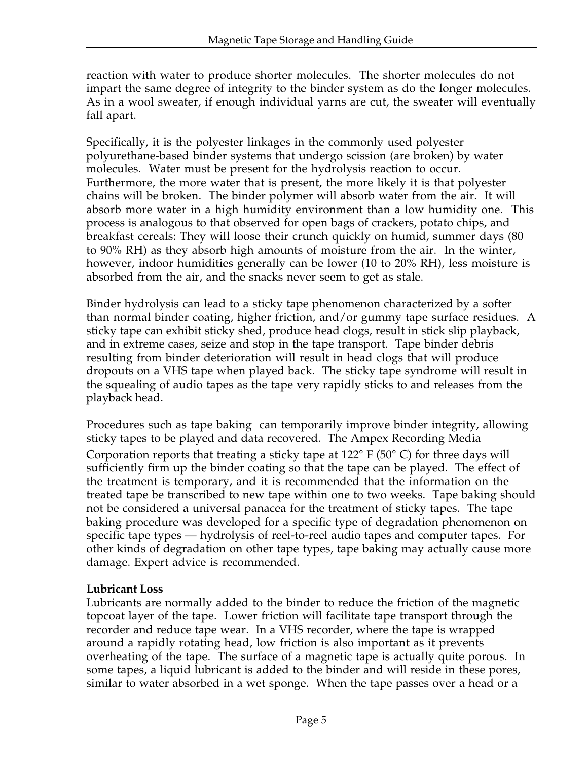reaction with water to produce shorter molecules. The shorter molecules do not impart the same degree of integrity to the binder system as do the longer molecules. As in a wool sweater, if enough individual yarns are cut, the sweater will eventually fall apart.

Specifically, it is the polyester linkages in the commonly used polyester polyurethane-based binder systems that undergo scission (are broken) by water molecules. Water must be present for the hydrolysis reaction to occur. Furthermore, the more water that is present, the more likely it is that polyester chains will be broken. The binder polymer will absorb water from the air. It will absorb more water in a high humidity environment than a low humidity one. This process is analogous to that observed for open bags of crackers, potato chips, and breakfast cereals: They will loose their crunch quickly on humid, summer days (80 to 90% RH) as they absorb high amounts of moisture from the air. In the winter, however, indoor humidities generally can be lower (10 to 20% RH), less moisture is absorbed from the air, and the snacks never seem to get as stale.

Binder hydrolysis can lead to a sticky tape phenomenon characterized by a softer than normal binder coating, higher friction, and/or gummy tape surface residues. A sticky tape can exhibit sticky shed, produce head clogs, result in stick slip playback, and in extreme cases, seize and stop in the tape transport. Tape binder debris resulting from binder deterioration will result in head clogs that will produce dropouts on a VHS tape when played back. The sticky tape syndrome will result in the squealing of audio tapes as the tape very rapidly sticks to and releases from the playback head.

Procedures such as tape baking can temporarily improve binder integrity, allowing sticky tapes to be played and data recovered. The Ampex Recording Media Corporation reports that treating a sticky tape at  $122^{\circ}$  F (50 $^{\circ}$  C) for three days will sufficiently firm up the binder coating so that the tape can be played. The effect of the treatment is temporary, and it is recommended that the information on the treated tape be transcribed to new tape within one to two weeks. Tape baking should not be considered a universal panacea for the treatment of sticky tapes. The tape baking procedure was developed for a specific type of degradation phenomenon on specific tape types — hydrolysis of reel-to-reel audio tapes and computer tapes. For other kinds of degradation on other tape types, tape baking may actually cause more damage. Expert advice is recommended.

### **Lubricant Loss**

Lubricants are normally added to the binder to reduce the friction of the magnetic topcoat layer of the tape. Lower friction will facilitate tape transport through the recorder and reduce tape wear. In a VHS recorder, where the tape is wrapped around a rapidly rotating head, low friction is also important as it prevents overheating of the tape. The surface of a magnetic tape is actually quite porous. In some tapes, a liquid lubricant is added to the binder and will reside in these pores, similar to water absorbed in a wet sponge. When the tape passes over a head or a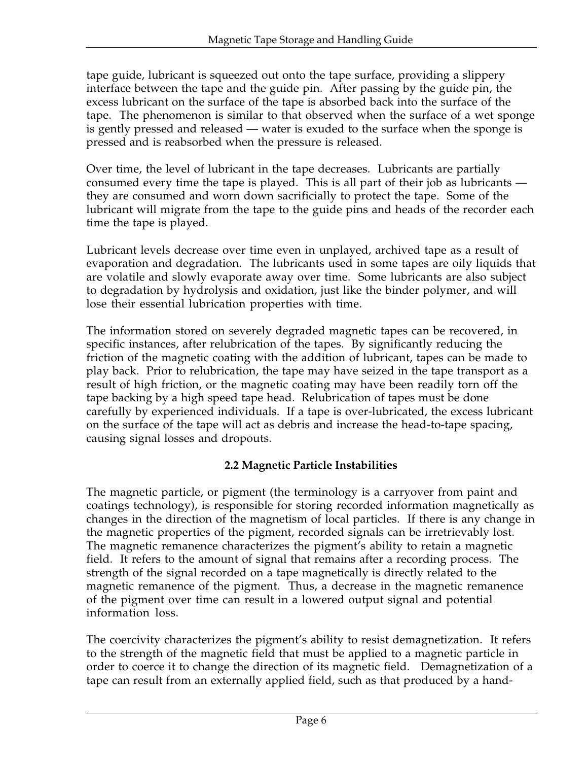tape guide, lubricant is squeezed out onto the tape surface, providing a slippery interface between the tape and the guide pin. After passing by the guide pin, the excess lubricant on the surface of the tape is absorbed back into the surface of the tape. The phenomenon is similar to that observed when the surface of a wet sponge is gently pressed and released — water is exuded to the surface when the sponge is pressed and is reabsorbed when the pressure is released.

Over time, the level of lubricant in the tape decreases. Lubricants are partially consumed every time the tape is played. This is all part of their job as lubricants they are consumed and worn down sacrificially to protect the tape. Some of the lubricant will migrate from the tape to the guide pins and heads of the recorder each time the tape is played.

Lubricant levels decrease over time even in unplayed, archived tape as a result of evaporation and degradation. The lubricants used in some tapes are oily liquids that are volatile and slowly evaporate away over time. Some lubricants are also subject to degradation by hydrolysis and oxidation, just like the binder polymer, and will lose their essential lubrication properties with time.

The information stored on severely degraded magnetic tapes can be recovered, in specific instances, after relubrication of the tapes. By significantly reducing the friction of the magnetic coating with the addition of lubricant, tapes can be made to play back. Prior to relubrication, the tape may have seized in the tape transport as a result of high friction, or the magnetic coating may have been readily torn off the tape backing by a high speed tape head. Relubrication of tapes must be done carefully by experienced individuals. If a tape is over-lubricated, the excess lubricant on the surface of the tape will act as debris and increase the head-to-tape spacing, causing signal losses and dropouts.

### **2.2 Magnetic Particle Instabilities**

The magnetic particle, or pigment (the terminology is a carryover from paint and coatings technology), is responsible for storing recorded information magnetically as changes in the direction of the magnetism of local particles. If there is any change in the magnetic properties of the pigment, recorded signals can be irretrievably lost. The magnetic remanence characterizes the pigment's ability to retain a magnetic field. It refers to the amount of signal that remains after a recording process. The strength of the signal recorded on a tape magnetically is directly related to the magnetic remanence of the pigment. Thus, a decrease in the magnetic remanence of the pigment over time can result in a lowered output signal and potential information loss.

The coercivity characterizes the pigment's ability to resist demagnetization. It refers to the strength of the magnetic field that must be applied to a magnetic particle in order to coerce it to change the direction of its magnetic field. Demagnetization of a tape can result from an externally applied field, such as that produced by a hand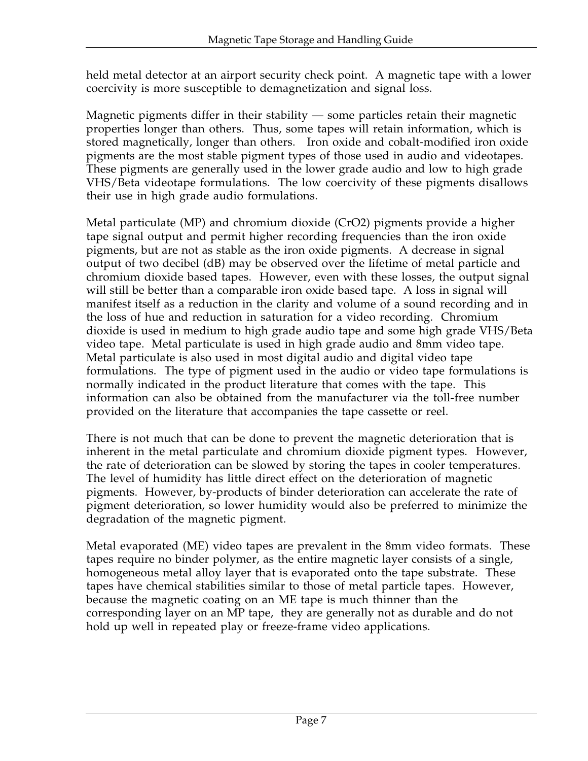held metal detector at an airport security check point. A magnetic tape with a lower coercivity is more susceptible to demagnetization and signal loss.

Magnetic pigments differ in their stability — some particles retain their magnetic properties longer than others. Thus, some tapes will retain information, which is stored magnetically, longer than others. Iron oxide and cobalt-modified iron oxide pigments are the most stable pigment types of those used in audio and videotapes. These pigments are generally used in the lower grade audio and low to high grade VHS/Beta videotape formulations. The low coercivity of these pigments disallows their use in high grade audio formulations.

Metal particulate (MP) and chromium dioxide (CrO2) pigments provide a higher tape signal output and permit higher recording frequencies than the iron oxide pigments, but are not as stable as the iron oxide pigments. A decrease in signal output of two decibel (dB) may be observed over the lifetime of metal particle and chromium dioxide based tapes. However, even with these losses, the output signal will still be better than a comparable iron oxide based tape. A loss in signal will manifest itself as a reduction in the clarity and volume of a sound recording and in the loss of hue and reduction in saturation for a video recording. Chromium dioxide is used in medium to high grade audio tape and some high grade VHS/Beta video tape. Metal particulate is used in high grade audio and 8mm video tape. Metal particulate is also used in most digital audio and digital video tape formulations. The type of pigment used in the audio or video tape formulations is normally indicated in the product literature that comes with the tape. This information can also be obtained from the manufacturer via the toll-free number provided on the literature that accompanies the tape cassette or reel.

There is not much that can be done to prevent the magnetic deterioration that is inherent in the metal particulate and chromium dioxide pigment types. However, the rate of deterioration can be slowed by storing the tapes in cooler temperatures. The level of humidity has little direct effect on the deterioration of magnetic pigments. However, by-products of binder deterioration can accelerate the rate of pigment deterioration, so lower humidity would also be preferred to minimize the degradation of the magnetic pigment.

Metal evaporated (ME) video tapes are prevalent in the 8mm video formats. These tapes require no binder polymer, as the entire magnetic layer consists of a single, homogeneous metal alloy layer that is evaporated onto the tape substrate. These tapes have chemical stabilities similar to those of metal particle tapes. However, because the magnetic coating on an ME tape is much thinner than the corresponding layer on an MP tape, they are generally not as durable and do not hold up well in repeated play or freeze-frame video applications.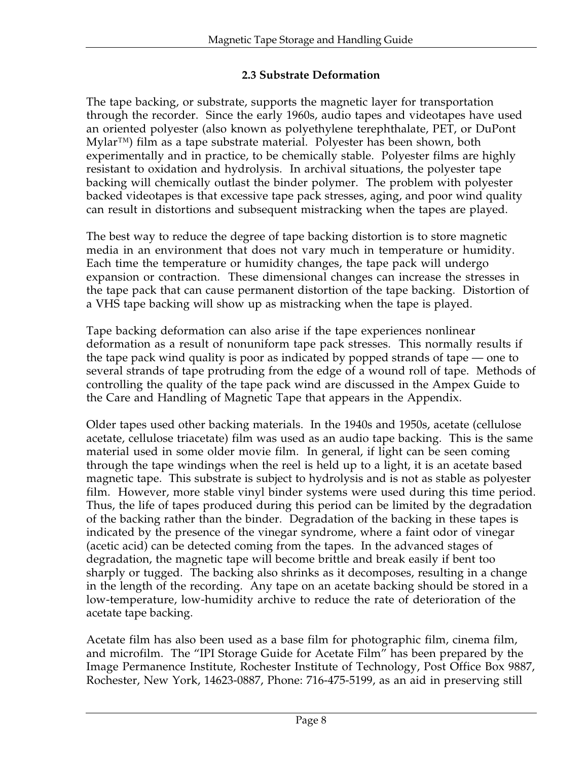### **2.3 Substrate Deformation**

The tape backing, or substrate, supports the magnetic layer for transportation through the recorder. Since the early 1960s, audio tapes and videotapes have used an oriented polyester (also known as polyethylene terephthalate, PET, or DuPont Mylar™) film as a tape substrate material. Polyester has been shown, both experimentally and in practice, to be chemically stable. Polyester films are highly resistant to oxidation and hydrolysis. In archival situations, the polyester tape backing will chemically outlast the binder polymer. The problem with polyester backed videotapes is that excessive tape pack stresses, aging, and poor wind quality can result in distortions and subsequent mistracking when the tapes are played.

The best way to reduce the degree of tape backing distortion is to store magnetic media in an environment that does not vary much in temperature or humidity. Each time the temperature or humidity changes, the tape pack will undergo expansion or contraction. These dimensional changes can increase the stresses in the tape pack that can cause permanent distortion of the tape backing. Distortion of a VHS tape backing will show up as mistracking when the tape is played.

Tape backing deformation can also arise if the tape experiences nonlinear deformation as a result of nonuniform tape pack stresses. This normally results if the tape pack wind quality is poor as indicated by popped strands of tape — one to several strands of tape protruding from the edge of a wound roll of tape. Methods of controlling the quality of the tape pack wind are discussed in the Ampex Guide to the Care and Handling of Magnetic Tape that appears in the Appendix.

Older tapes used other backing materials. In the 1940s and 1950s, acetate (cellulose acetate, cellulose triacetate) film was used as an audio tape backing. This is the same material used in some older movie film. In general, if light can be seen coming through the tape windings when the reel is held up to a light, it is an acetate based magnetic tape. This substrate is subject to hydrolysis and is not as stable as polyester film. However, more stable vinyl binder systems were used during this time period. Thus, the life of tapes produced during this period can be limited by the degradation of the backing rather than the binder. Degradation of the backing in these tapes is indicated by the presence of the vinegar syndrome, where a faint odor of vinegar (acetic acid) can be detected coming from the tapes. In the advanced stages of degradation, the magnetic tape will become brittle and break easily if bent too sharply or tugged. The backing also shrinks as it decomposes, resulting in a change in the length of the recording. Any tape on an acetate backing should be stored in a low-temperature, low-humidity archive to reduce the rate of deterioration of the acetate tape backing.

Acetate film has also been used as a base film for photographic film, cinema film, and microfilm. The "IPI Storage Guide for Acetate Film" has been prepared by the Image Permanence Institute, Rochester Institute of Technology, Post Office Box 9887, Rochester, New York, 14623-0887, Phone: 716-475-5199, as an aid in preserving still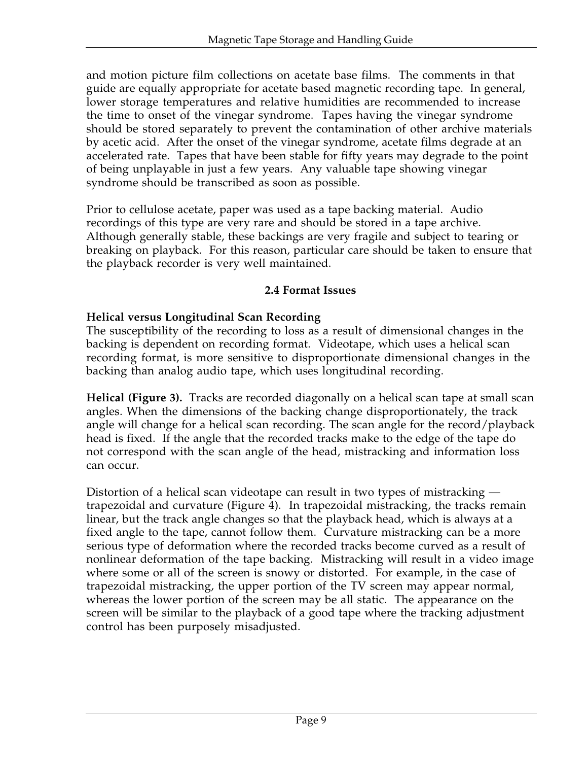and motion picture film collections on acetate base films. The comments in that guide are equally appropriate for acetate based magnetic recording tape. In general, lower storage temperatures and relative humidities are recommended to increase the time to onset of the vinegar syndrome. Tapes having the vinegar syndrome should be stored separately to prevent the contamination of other archive materials by acetic acid. After the onset of the vinegar syndrome, acetate films degrade at an accelerated rate. Tapes that have been stable for fifty years may degrade to the point of being unplayable in just a few years. Any valuable tape showing vinegar syndrome should be transcribed as soon as possible.

Prior to cellulose acetate, paper was used as a tape backing material. Audio recordings of this type are very rare and should be stored in a tape archive. Although generally stable, these backings are very fragile and subject to tearing or breaking on playback. For this reason, particular care should be taken to ensure that the playback recorder is very well maintained.

### **2.4 Format Issues**

### **Helical versus Longitudinal Scan Recording**

The susceptibility of the recording to loss as a result of dimensional changes in the backing is dependent on recording format. Videotape, which uses a helical scan recording format, is more sensitive to disproportionate dimensional changes in the backing than analog audio tape, which uses longitudinal recording.

**Helical (Figure 3).** Tracks are recorded diagonally on a helical scan tape at small scan angles. When the dimensions of the backing change disproportionately, the track angle will change for a helical scan recording. The scan angle for the record/playback head is fixed. If the angle that the recorded tracks make to the edge of the tape do not correspond with the scan angle of the head, mistracking and information loss can occur.

Distortion of a helical scan videotape can result in two types of mistracking trapezoidal and curvature (Figure 4). In trapezoidal mistracking, the tracks remain linear, but the track angle changes so that the playback head, which is always at a fixed angle to the tape, cannot follow them. Curvature mistracking can be a more serious type of deformation where the recorded tracks become curved as a result of nonlinear deformation of the tape backing. Mistracking will result in a video image where some or all of the screen is snowy or distorted. For example, in the case of trapezoidal mistracking, the upper portion of the TV screen may appear normal, whereas the lower portion of the screen may be all static. The appearance on the screen will be similar to the playback of a good tape where the tracking adjustment control has been purposely misadjusted.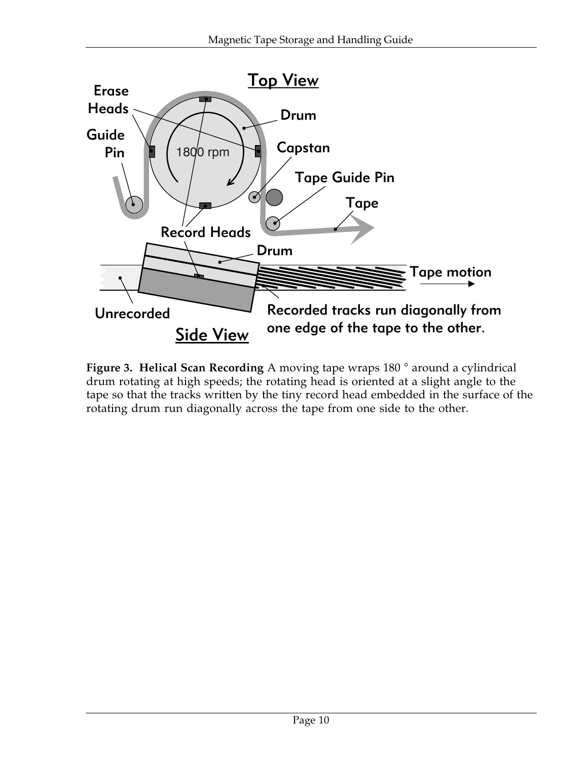

**Figure 3. Helical Scan Recording** A moving tape wraps 180 ° around a cylindrical drum rotating at high speeds; the rotating head is oriented at a slight angle to the tape so that the tracks written by the tiny record head embedded in the surface of the rotating drum run diagonally across the tape from one side to the other.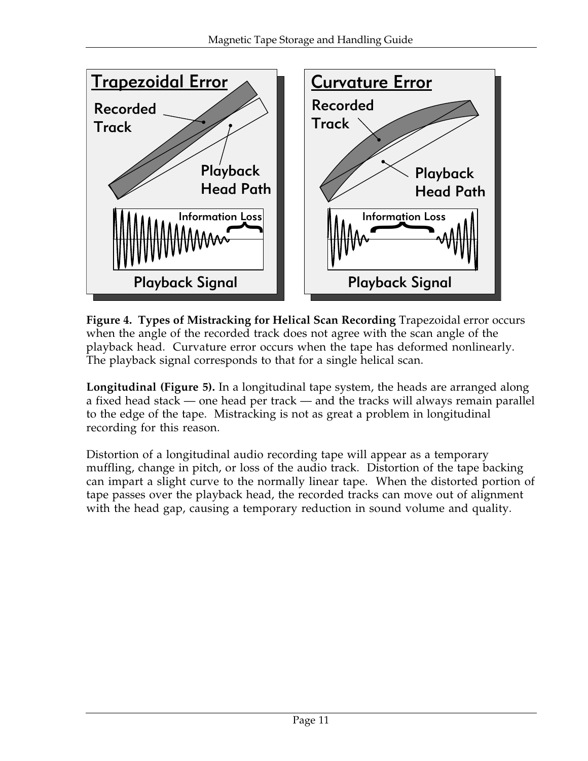

**Figure 4. Types of Mistracking for Helical Scan Recording** Trapezoidal error occurs when the angle of the recorded track does not agree with the scan angle of the playback head. Curvature error occurs when the tape has deformed nonlinearly. The playback signal corresponds to that for a single helical scan.

**Longitudinal (Figure 5).** In a longitudinal tape system, the heads are arranged along a fixed head stack — one head per track — and the tracks will always remain parallel to the edge of the tape. Mistracking is not as great a problem in longitudinal recording for this reason.

Distortion of a longitudinal audio recording tape will appear as a temporary muffling, change in pitch, or loss of the audio track. Distortion of the tape backing can impart a slight curve to the normally linear tape. When the distorted portion of tape passes over the playback head, the recorded tracks can move out of alignment with the head gap, causing a temporary reduction in sound volume and quality.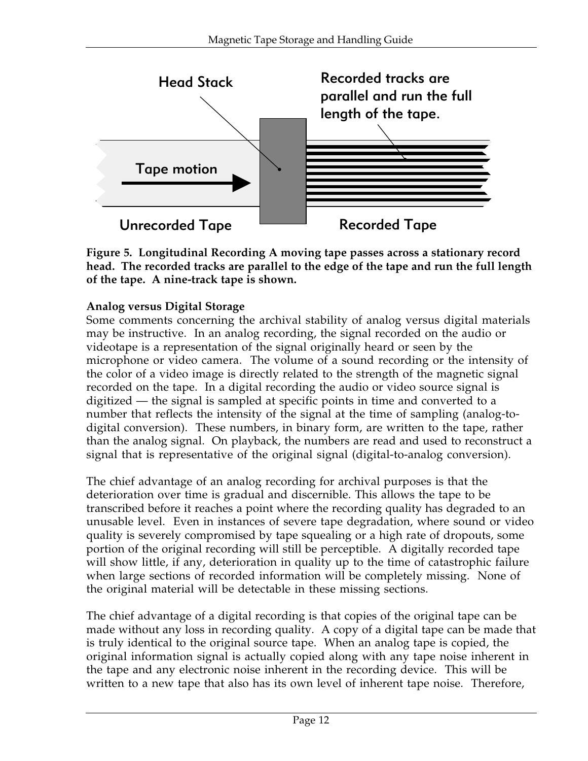

**Figure 5. Longitudinal Recording A moving tape passes across a stationary record head. The recorded tracks are parallel to the edge of the tape and run the full length of the tape. A nine-track tape is shown.**

### **Analog versus Digital Storage**

Some comments concerning the archival stability of analog versus digital materials may be instructive. In an analog recording, the signal recorded on the audio or videotape is a representation of the signal originally heard or seen by the microphone or video camera. The volume of a sound recording or the intensity of the color of a video image is directly related to the strength of the magnetic signal recorded on the tape. In a digital recording the audio or video source signal is digitized — the signal is sampled at specific points in time and converted to a number that reflects the intensity of the signal at the time of sampling (analog-todigital conversion). These numbers, in binary form, are written to the tape, rather than the analog signal. On playback, the numbers are read and used to reconstruct a signal that is representative of the original signal (digital-to-analog conversion).

The chief advantage of an analog recording for archival purposes is that the deterioration over time is gradual and discernible. This allows the tape to be transcribed before it reaches a point where the recording quality has degraded to an unusable level. Even in instances of severe tape degradation, where sound or video quality is severely compromised by tape squealing or a high rate of dropouts, some portion of the original recording will still be perceptible. A digitally recorded tape will show little, if any, deterioration in quality up to the time of catastrophic failure when large sections of recorded information will be completely missing. None of the original material will be detectable in these missing sections.

The chief advantage of a digital recording is that copies of the original tape can be made without any loss in recording quality. A copy of a digital tape can be made that is truly identical to the original source tape. When an analog tape is copied, the original information signal is actually copied along with any tape noise inherent in the tape and any electronic noise inherent in the recording device. This will be written to a new tape that also has its own level of inherent tape noise. Therefore,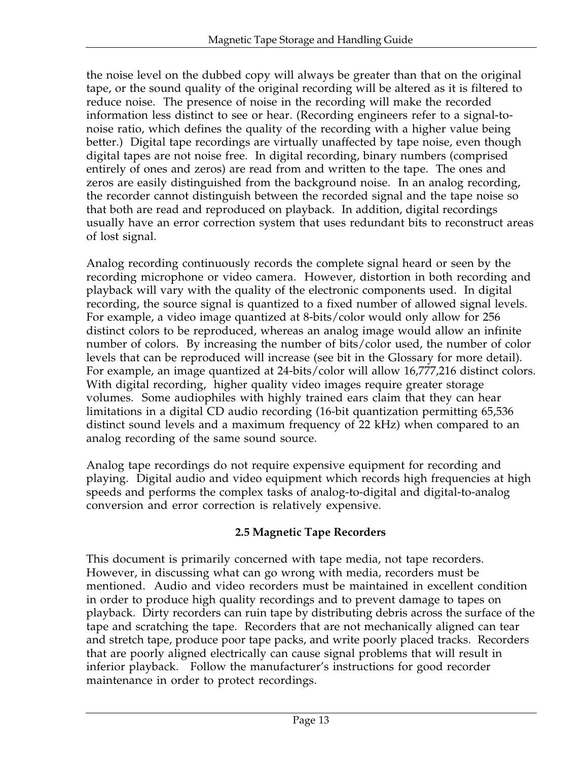the noise level on the dubbed copy will always be greater than that on the original tape, or the sound quality of the original recording will be altered as it is filtered to reduce noise. The presence of noise in the recording will make the recorded information less distinct to see or hear. (Recording engineers refer to a signal-tonoise ratio, which defines the quality of the recording with a higher value being better.) Digital tape recordings are virtually unaffected by tape noise, even though digital tapes are not noise free. In digital recording, binary numbers (comprised entirely of ones and zeros) are read from and written to the tape. The ones and zeros are easily distinguished from the background noise. In an analog recording, the recorder cannot distinguish between the recorded signal and the tape noise so that both are read and reproduced on playback. In addition, digital recordings usually have an error correction system that uses redundant bits to reconstruct areas of lost signal.

Analog recording continuously records the complete signal heard or seen by the recording microphone or video camera. However, distortion in both recording and playback will vary with the quality of the electronic components used. In digital recording, the source signal is quantized to a fixed number of allowed signal levels. For example, a video image quantized at 8-bits/color would only allow for 256 distinct colors to be reproduced, whereas an analog image would allow an infinite number of colors. By increasing the number of bits/color used, the number of color levels that can be reproduced will increase (see bit in the Glossary for more detail). For example, an image quantized at 24-bits/color will allow 16,777,216 distinct colors. With digital recording, higher quality video images require greater storage volumes. Some audiophiles with highly trained ears claim that they can hear limitations in a digital CD audio recording (16-bit quantization permitting 65,536 distinct sound levels and a maximum frequency of 22 kHz) when compared to an analog recording of the same sound source.

Analog tape recordings do not require expensive equipment for recording and playing. Digital audio and video equipment which records high frequencies at high speeds and performs the complex tasks of analog-to-digital and digital-to-analog conversion and error correction is relatively expensive.

### **2.5 Magnetic Tape Recorders**

This document is primarily concerned with tape media, not tape recorders. However, in discussing what can go wrong with media, recorders must be mentioned. Audio and video recorders must be maintained in excellent condition in order to produce high quality recordings and to prevent damage to tapes on playback. Dirty recorders can ruin tape by distributing debris across the surface of the tape and scratching the tape. Recorders that are not mechanically aligned can tear and stretch tape, produce poor tape packs, and write poorly placed tracks. Recorders that are poorly aligned electrically can cause signal problems that will result in inferior playback. Follow the manufacturer's instructions for good recorder maintenance in order to protect recordings.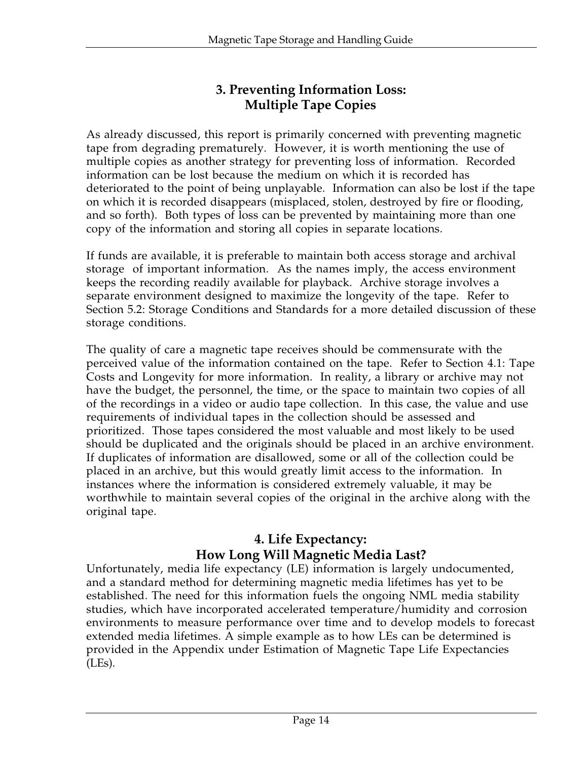# **3. Preventing Information Loss: Multiple Tape Copies**

As already discussed, this report is primarily concerned with preventing magnetic tape from degrading prematurely. However, it is worth mentioning the use of multiple copies as another strategy for preventing loss of information. Recorded information can be lost because the medium on which it is recorded has deteriorated to the point of being unplayable. Information can also be lost if the tape on which it is recorded disappears (misplaced, stolen, destroyed by fire or flooding, and so forth). Both types of loss can be prevented by maintaining more than one copy of the information and storing all copies in separate locations.

If funds are available, it is preferable to maintain both access storage and archival storage of important information. As the names imply, the access environment keeps the recording readily available for playback. Archive storage involves a separate environment designed to maximize the longevity of the tape. Refer to Section 5.2: Storage Conditions and Standards for a more detailed discussion of these storage conditions.

The quality of care a magnetic tape receives should be commensurate with the perceived value of the information contained on the tape. Refer to Section 4.1: Tape Costs and Longevity for more information. In reality, a library or archive may not have the budget, the personnel, the time, or the space to maintain two copies of all of the recordings in a video or audio tape collection. In this case, the value and use requirements of individual tapes in the collection should be assessed and prioritized. Those tapes considered the most valuable and most likely to be used should be duplicated and the originals should be placed in an archive environment. If duplicates of information are disallowed, some or all of the collection could be placed in an archive, but this would greatly limit access to the information. In instances where the information is considered extremely valuable, it may be worthwhile to maintain several copies of the original in the archive along with the original tape.

### **4. Life Expectancy: How Long Will Magnetic Media Last?**

Unfortunately, media life expectancy (LE) information is largely undocumented, and a standard method for determining magnetic media lifetimes has yet to be established. The need for this information fuels the ongoing NML media stability studies, which have incorporated accelerated temperature/humidity and corrosion environments to measure performance over time and to develop models to forecast extended media lifetimes. A simple example as to how LEs can be determined is provided in the Appendix under Estimation of Magnetic Tape Life Expectancies (LEs).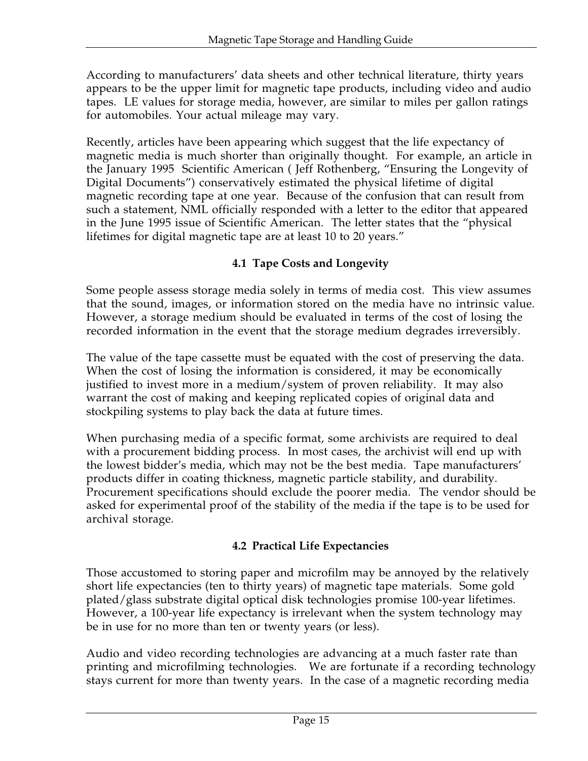According to manufacturers' data sheets and other technical literature, thirty years appears to be the upper limit for magnetic tape products, including video and audio tapes. LE values for storage media, however, are similar to miles per gallon ratings for automobiles. Your actual mileage may vary.

Recently, articles have been appearing which suggest that the life expectancy of magnetic media is much shorter than originally thought. For example, an article in the January 1995 Scientific American ( Jeff Rothenberg, "Ensuring the Longevity of Digital Documents") conservatively estimated the physical lifetime of digital magnetic recording tape at one year. Because of the confusion that can result from such a statement, NML officially responded with a letter to the editor that appeared in the June 1995 issue of Scientific American. The letter states that the "physical lifetimes for digital magnetic tape are at least 10 to 20 years."

### **4.1 Tape Costs and Longevity**

Some people assess storage media solely in terms of media cost. This view assumes that the sound, images, or information stored on the media have no intrinsic value. However, a storage medium should be evaluated in terms of the cost of losing the recorded information in the event that the storage medium degrades irreversibly.

The value of the tape cassette must be equated with the cost of preserving the data. When the cost of losing the information is considered, it may be economically justified to invest more in a medium/system of proven reliability. It may also warrant the cost of making and keeping replicated copies of original data and stockpiling systems to play back the data at future times.

When purchasing media of a specific format, some archivists are required to deal with a procurement bidding process. In most cases, the archivist will end up with the lowest bidder's media, which may not be the best media. Tape manufacturers' products differ in coating thickness, magnetic particle stability, and durability. Procurement specifications should exclude the poorer media. The vendor should be asked for experimental proof of the stability of the media if the tape is to be used for archival storage.

### **4.2 Practical Life Expectancies**

Those accustomed to storing paper and microfilm may be annoyed by the relatively short life expectancies (ten to thirty years) of magnetic tape materials. Some gold plated/glass substrate digital optical disk technologies promise 100-year lifetimes. However, a 100-year life expectancy is irrelevant when the system technology may be in use for no more than ten or twenty years (or less).

Audio and video recording technologies are advancing at a much faster rate than printing and microfilming technologies. We are fortunate if a recording technology stays current for more than twenty years. In the case of a magnetic recording media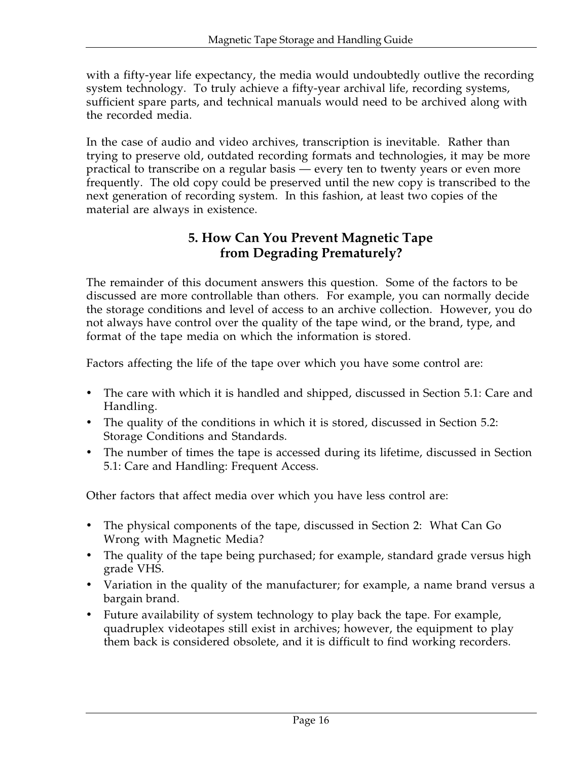with a fifty-year life expectancy, the media would undoubtedly outlive the recording system technology. To truly achieve a fifty-year archival life, recording systems, sufficient spare parts, and technical manuals would need to be archived along with the recorded media.

In the case of audio and video archives, transcription is inevitable. Rather than trying to preserve old, outdated recording formats and technologies, it may be more practical to transcribe on a regular basis — every ten to twenty years or even more frequently. The old copy could be preserved until the new copy is transcribed to the next generation of recording system. In this fashion, at least two copies of the material are always in existence.

# **5. How Can You Prevent Magnetic Tape from Degrading Prematurely?**

The remainder of this document answers this question. Some of the factors to be discussed are more controllable than others. For example, you can normally decide the storage conditions and level of access to an archive collection. However, you do not always have control over the quality of the tape wind, or the brand, type, and format of the tape media on which the information is stored.

Factors affecting the life of the tape over which you have some control are:

- The care with which it is handled and shipped, discussed in Section 5.1: Care and Handling.
- The quality of the conditions in which it is stored, discussed in Section 5.2: Storage Conditions and Standards.
- The number of times the tape is accessed during its lifetime, discussed in Section 5.1: Care and Handling: Frequent Access.

Other factors that affect media over which you have less control are:

- The physical components of the tape, discussed in Section 2: What Can Go Wrong with Magnetic Media?
- The quality of the tape being purchased; for example, standard grade versus high grade VHS.
- Variation in the quality of the manufacturer; for example, a name brand versus a bargain brand.
- Future availability of system technology to play back the tape. For example, quadruplex videotapes still exist in archives; however, the equipment to play them back is considered obsolete, and it is difficult to find working recorders.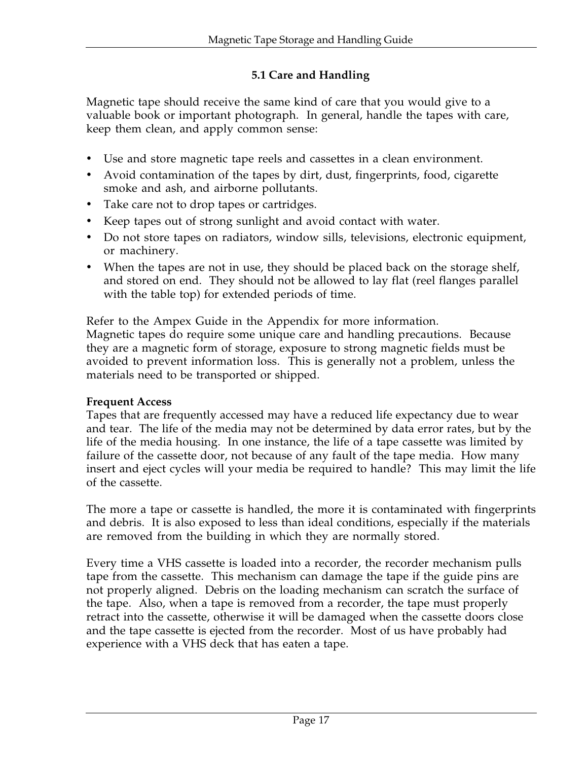### **5.1 Care and Handling**

Magnetic tape should receive the same kind of care that you would give to a valuable book or important photograph. In general, handle the tapes with care, keep them clean, and apply common sense:

- Use and store magnetic tape reels and cassettes in a clean environment.
- Avoid contamination of the tapes by dirt, dust, fingerprints, food, cigarette smoke and ash, and airborne pollutants.
- Take care not to drop tapes or cartridges.
- Keep tapes out of strong sunlight and avoid contact with water.
- Do not store tapes on radiators, window sills, televisions, electronic equipment, or machinery.
- When the tapes are not in use, they should be placed back on the storage shelf, and stored on end. They should not be allowed to lay flat (reel flanges parallel with the table top) for extended periods of time.

Refer to the Ampex Guide in the Appendix for more information. Magnetic tapes do require some unique care and handling precautions. Because they are a magnetic form of storage, exposure to strong magnetic fields must be avoided to prevent information loss. This is generally not a problem, unless the materials need to be transported or shipped.

#### **Frequent Access**

Tapes that are frequently accessed may have a reduced life expectancy due to wear and tear. The life of the media may not be determined by data error rates, but by the life of the media housing. In one instance, the life of a tape cassette was limited by failure of the cassette door, not because of any fault of the tape media. How many insert and eject cycles will your media be required to handle? This may limit the life of the cassette.

The more a tape or cassette is handled, the more it is contaminated with fingerprints and debris. It is also exposed to less than ideal conditions, especially if the materials are removed from the building in which they are normally stored.

Every time a VHS cassette is loaded into a recorder, the recorder mechanism pulls tape from the cassette. This mechanism can damage the tape if the guide pins are not properly aligned. Debris on the loading mechanism can scratch the surface of the tape. Also, when a tape is removed from a recorder, the tape must properly retract into the cassette, otherwise it will be damaged when the cassette doors close and the tape cassette is ejected from the recorder. Most of us have probably had experience with a VHS deck that has eaten a tape.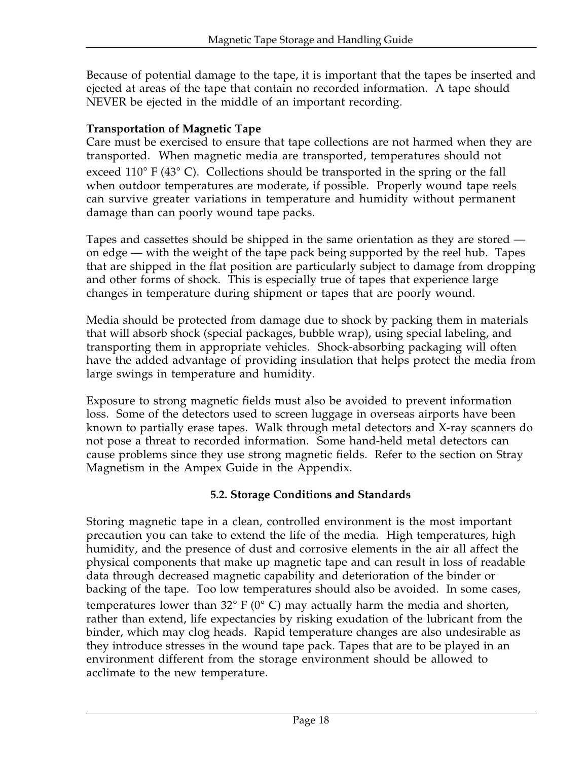Because of potential damage to the tape, it is important that the tapes be inserted and ejected at areas of the tape that contain no recorded information. A tape should NEVER be ejected in the middle of an important recording.

### **Transportation of Magnetic Tape**

Care must be exercised to ensure that tape collections are not harmed when they are transported. When magnetic media are transported, temperatures should not exceed 110° F (43° C). Collections should be transported in the spring or the fall when outdoor temperatures are moderate, if possible. Properly wound tape reels can survive greater variations in temperature and humidity without permanent damage than can poorly wound tape packs.

Tapes and cassettes should be shipped in the same orientation as they are stored on edge — with the weight of the tape pack being supported by the reel hub. Tapes that are shipped in the flat position are particularly subject to damage from dropping and other forms of shock. This is especially true of tapes that experience large changes in temperature during shipment or tapes that are poorly wound.

Media should be protected from damage due to shock by packing them in materials that will absorb shock (special packages, bubble wrap), using special labeling, and transporting them in appropriate vehicles. Shock-absorbing packaging will often have the added advantage of providing insulation that helps protect the media from large swings in temperature and humidity.

Exposure to strong magnetic fields must also be avoided to prevent information loss. Some of the detectors used to screen luggage in overseas airports have been known to partially erase tapes. Walk through metal detectors and X-ray scanners do not pose a threat to recorded information. Some hand-held metal detectors can cause problems since they use strong magnetic fields. Refer to the section on Stray Magnetism in the Ampex Guide in the Appendix.

### **5.2. Storage Conditions and Standards**

Storing magnetic tape in a clean, controlled environment is the most important precaution you can take to extend the life of the media. High temperatures, high humidity, and the presence of dust and corrosive elements in the air all affect the physical components that make up magnetic tape and can result in loss of readable data through decreased magnetic capability and deterioration of the binder or backing of the tape. Too low temperatures should also be avoided. In some cases, temperatures lower than  $32^{\circ}$  F (0° C) may actually harm the media and shorten, rather than extend, life expectancies by risking exudation of the lubricant from the binder, which may clog heads. Rapid temperature changes are also undesirable as they introduce stresses in the wound tape pack. Tapes that are to be played in an environment different from the storage environment should be allowed to acclimate to the new temperature.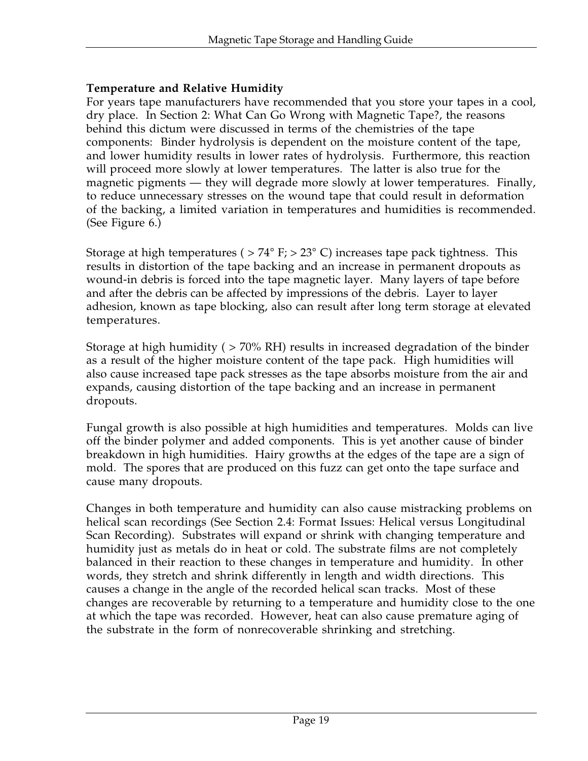#### **Temperature and Relative Humidity**

For years tape manufacturers have recommended that you store your tapes in a cool, dry place. In Section 2: What Can Go Wrong with Magnetic Tape?, the reasons behind this dictum were discussed in terms of the chemistries of the tape components: Binder hydrolysis is dependent on the moisture content of the tape, and lower humidity results in lower rates of hydrolysis. Furthermore, this reaction will proceed more slowly at lower temperatures. The latter is also true for the magnetic pigments — they will degrade more slowly at lower temperatures. Finally, to reduce unnecessary stresses on the wound tape that could result in deformation of the backing, a limited variation in temperatures and humidities is recommended. (See Figure 6.)

Storage at high temperatures ( $> 74^{\circ}$  F;  $> 23^{\circ}$  C) increases tape pack tightness. This results in distortion of the tape backing and an increase in permanent dropouts as wound-in debris is forced into the tape magnetic layer. Many layers of tape before and after the debris can be affected by impressions of the debris. Layer to layer adhesion, known as tape blocking, also can result after long term storage at elevated temperatures.

Storage at high humidity ( > 70% RH) results in increased degradation of the binder as a result of the higher moisture content of the tape pack. High humidities will also cause increased tape pack stresses as the tape absorbs moisture from the air and expands, causing distortion of the tape backing and an increase in permanent dropouts.

Fungal growth is also possible at high humidities and temperatures. Molds can live off the binder polymer and added components. This is yet another cause of binder breakdown in high humidities. Hairy growths at the edges of the tape are a sign of mold. The spores that are produced on this fuzz can get onto the tape surface and cause many dropouts.

Changes in both temperature and humidity can also cause mistracking problems on helical scan recordings (See Section 2.4: Format Issues: Helical versus Longitudinal Scan Recording). Substrates will expand or shrink with changing temperature and humidity just as metals do in heat or cold. The substrate films are not completely balanced in their reaction to these changes in temperature and humidity. In other words, they stretch and shrink differently in length and width directions. This causes a change in the angle of the recorded helical scan tracks. Most of these changes are recoverable by returning to a temperature and humidity close to the one at which the tape was recorded. However, heat can also cause premature aging of the substrate in the form of nonrecoverable shrinking and stretching.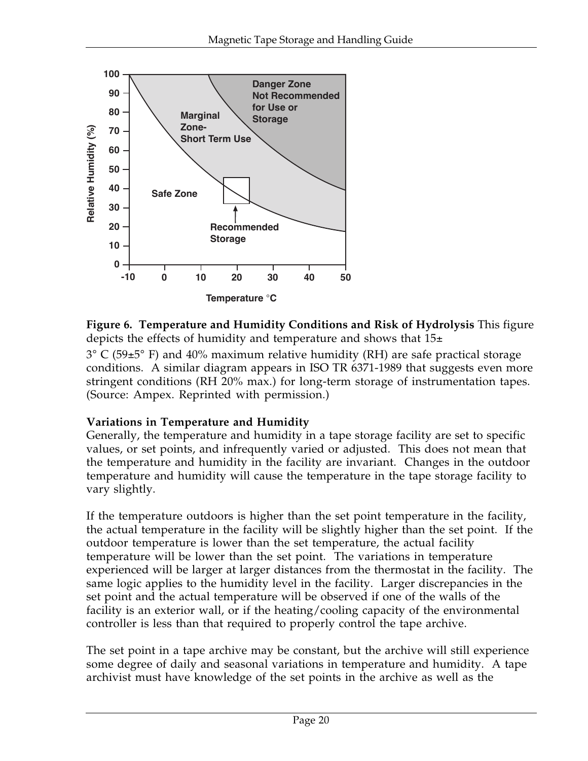

**Figure 6. Temperature and Humidity Conditions and Risk of Hydrolysis** This figure depicts the effects of humidity and temperature and shows that 15±

 $3^{\circ}$  C (59 $\pm$ 5 $^{\circ}$  F) and 40% maximum relative humidity (RH) are safe practical storage conditions. A similar diagram appears in ISO TR 6371-1989 that suggests even more stringent conditions (RH 20% max.) for long-term storage of instrumentation tapes. (Source: Ampex. Reprinted with permission.)

### **Variations in Temperature and Humidity**

Generally, the temperature and humidity in a tape storage facility are set to specific values, or set points, and infrequently varied or adjusted. This does not mean that the temperature and humidity in the facility are invariant. Changes in the outdoor temperature and humidity will cause the temperature in the tape storage facility to vary slightly.

If the temperature outdoors is higher than the set point temperature in the facility, the actual temperature in the facility will be slightly higher than the set point. If the outdoor temperature is lower than the set temperature, the actual facility temperature will be lower than the set point. The variations in temperature experienced will be larger at larger distances from the thermostat in the facility. The same logic applies to the humidity level in the facility. Larger discrepancies in the set point and the actual temperature will be observed if one of the walls of the facility is an exterior wall, or if the heating/cooling capacity of the environmental controller is less than that required to properly control the tape archive.

The set point in a tape archive may be constant, but the archive will still experience some degree of daily and seasonal variations in temperature and humidity. A tape archivist must have knowledge of the set points in the archive as well as the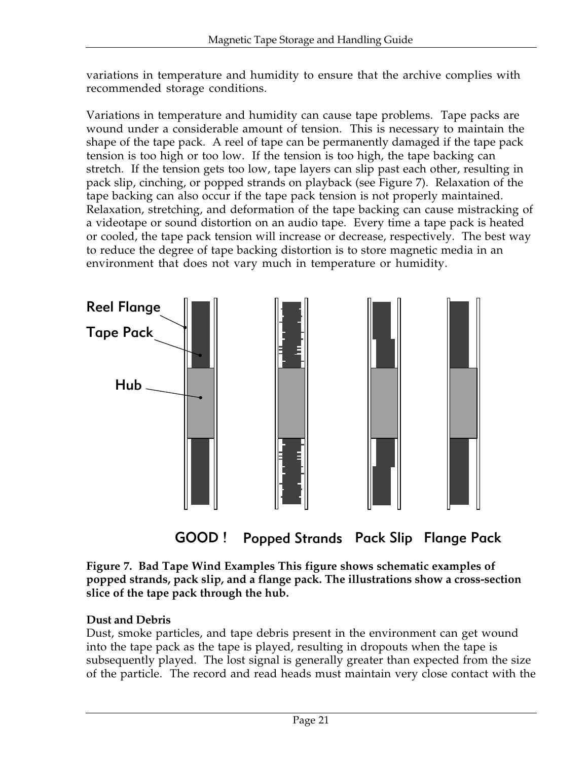variations in temperature and humidity to ensure that the archive complies with recommended storage conditions.

Variations in temperature and humidity can cause tape problems. Tape packs are wound under a considerable amount of tension. This is necessary to maintain the shape of the tape pack. A reel of tape can be permanently damaged if the tape pack tension is too high or too low. If the tension is too high, the tape backing can stretch. If the tension gets too low, tape layers can slip past each other, resulting in pack slip, cinching, or popped strands on playback (see Figure 7). Relaxation of the tape backing can also occur if the tape pack tension is not properly maintained. Relaxation, stretching, and deformation of the tape backing can cause mistracking of a videotape or sound distortion on an audio tape. Every time a tape pack is heated or cooled, the tape pack tension will increase or decrease, respectively. The best way to reduce the degree of tape backing distortion is to store magnetic media in an environment that does not vary much in temperature or humidity.





**Figure 7. Bad Tape Wind Examples This figure shows schematic examples of popped strands, pack slip, and a flange pack. The illustrations show a cross-section slice of the tape pack through the hub.**

### **Dust and Debris**

Dust, smoke particles, and tape debris present in the environment can get wound into the tape pack as the tape is played, resulting in dropouts when the tape is subsequently played. The lost signal is generally greater than expected from the size of the particle. The record and read heads must maintain very close contact with the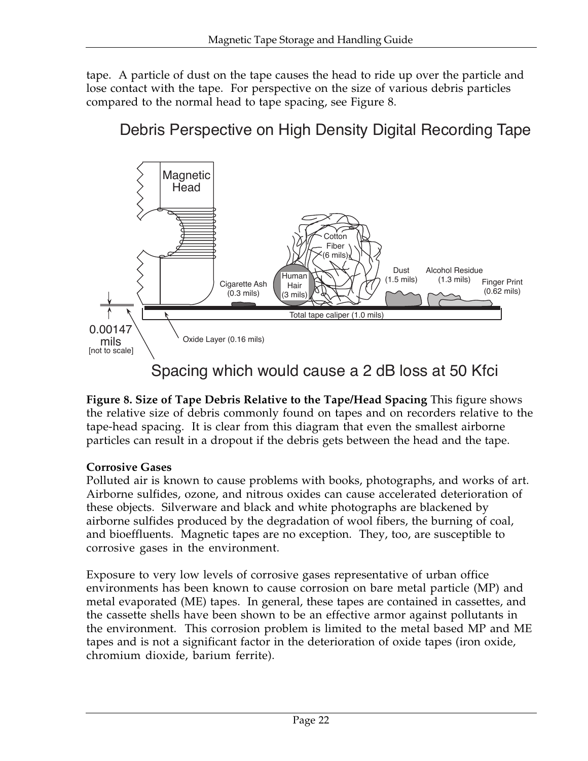tape. A particle of dust on the tape causes the head to ride up over the particle and lose contact with the tape. For perspective on the size of various debris particles compared to the normal head to tape spacing, see Figure 8.



Debris Perspective on High Density Digital Recording Tape

Spacing which would cause a 2 dB loss at 50 Kfci

**Figure 8. Size of Tape Debris Relative to the Tape/Head Spacing** This figure shows the relative size of debris commonly found on tapes and on recorders relative to the tape-head spacing. It is clear from this diagram that even the smallest airborne particles can result in a dropout if the debris gets between the head and the tape.

#### **Corrosive Gases**

Polluted air is known to cause problems with books, photographs, and works of art. Airborne sulfides, ozone, and nitrous oxides can cause accelerated deterioration of these objects. Silverware and black and white photographs are blackened by airborne sulfides produced by the degradation of wool fibers, the burning of coal, and bioeffluents. Magnetic tapes are no exception. They, too, are susceptible to corrosive gases in the environment.

Exposure to very low levels of corrosive gases representative of urban office environments has been known to cause corrosion on bare metal particle (MP) and metal evaporated (ME) tapes. In general, these tapes are contained in cassettes, and the cassette shells have been shown to be an effective armor against pollutants in the environment. This corrosion problem is limited to the metal based MP and ME tapes and is not a significant factor in the deterioration of oxide tapes (iron oxide, chromium dioxide, barium ferrite).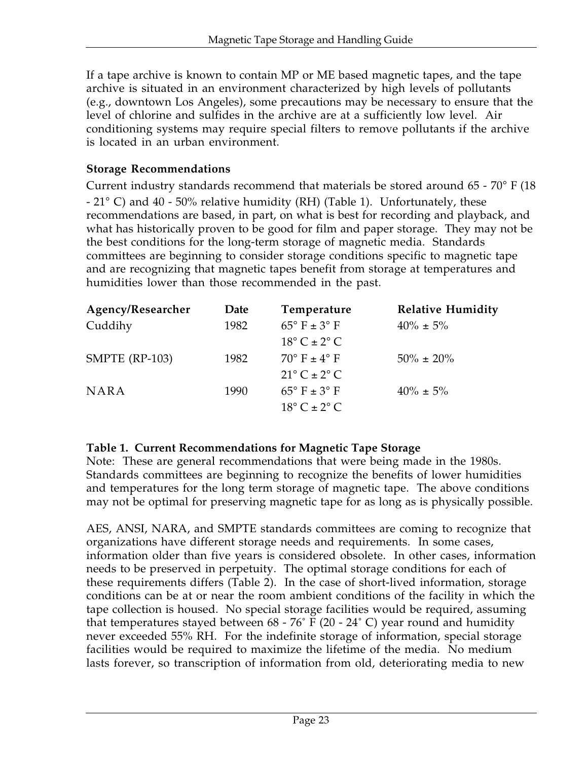If a tape archive is known to contain MP or ME based magnetic tapes, and the tape archive is situated in an environment characterized by high levels of pollutants (e.g., downtown Los Angeles), some precautions may be necessary to ensure that the level of chlorine and sulfides in the archive are at a sufficiently low level. Air conditioning systems may require special filters to remove pollutants if the archive is located in an urban environment.

### **Storage Recommendations**

Current industry standards recommend that materials be stored around 65 - 70° F (18 - 21° C) and 40 - 50% relative humidity (RH) (Table 1). Unfortunately, these recommendations are based, in part, on what is best for recording and playback, and what has historically proven to be good for film and paper storage. They may not be the best conditions for the long-term storage of magnetic media. Standards committees are beginning to consider storage conditions specific to magnetic tape and are recognizing that magnetic tapes benefit from storage at temperatures and humidities lower than those recommended in the past.

| Agency/Researcher | Date | Temperature               | <b>Relative Humidity</b> |
|-------------------|------|---------------------------|--------------------------|
| Cuddihy           | 1982 | $65^\circ$ F $\pm$ 3° F   | $40\% \pm 5\%$           |
|                   |      | $18^{\circ}$ C $\pm$ 2° C |                          |
| SMPTE (RP-103)    | 1982 | $70^\circ$ F $\pm$ 4° F   | $50\% \pm 20\%$          |
|                   |      | $21^{\circ}$ C $\pm$ 2° C |                          |
| <b>NARA</b>       | 1990 | $65^\circ$ F $\pm$ 3° F   | $40\% \pm 5\%$           |
|                   |      | $18^{\circ}$ C $\pm$ 2° C |                          |

### **Table 1. Current Recommendations for Magnetic Tape Storage**

Note: These are general recommendations that were being made in the 1980s. Standards committees are beginning to recognize the benefits of lower humidities and temperatures for the long term storage of magnetic tape. The above conditions may not be optimal for preserving magnetic tape for as long as is physically possible.

AES, ANSI, NARA, and SMPTE standards committees are coming to recognize that organizations have different storage needs and requirements. In some cases, information older than five years is considered obsolete. In other cases, information needs to be preserved in perpetuity. The optimal storage conditions for each of these requirements differs (Table 2). In the case of short-lived information, storage conditions can be at or near the room ambient conditions of the facility in which the tape collection is housed. No special storage facilities would be required, assuming that temperatures stayed between  $68 - 76$ ° F (20 - 24° C) year round and humidity never exceeded 55% RH. For the indefinite storage of information, special storage facilities would be required to maximize the lifetime of the media. No medium lasts forever, so transcription of information from old, deteriorating media to new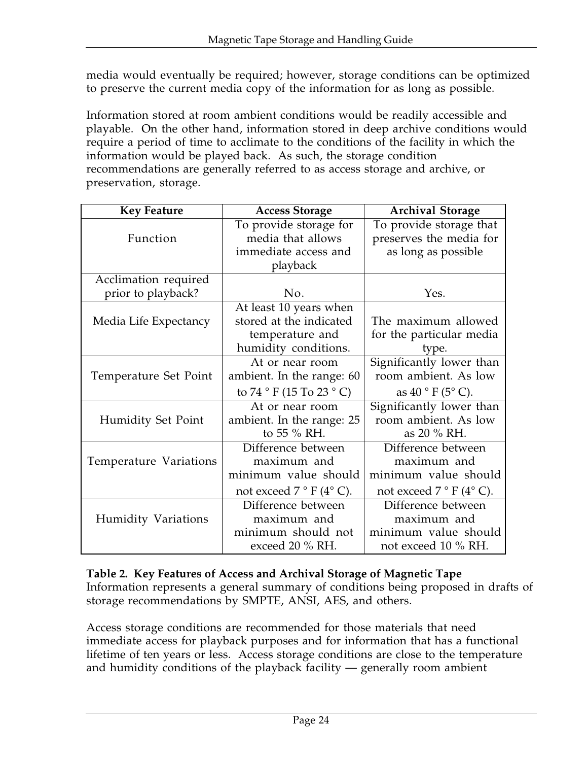media would eventually be required; however, storage conditions can be optimized to preserve the current media copy of the information for as long as possible.

Information stored at room ambient conditions would be readily accessible and playable. On the other hand, information stored in deep archive conditions would require a period of time to acclimate to the conditions of the facility in which the information would be played back. As such, the storage condition recommendations are generally referred to as access storage and archive, or preservation, storage.

| <b>Key Feature</b>         | <b>Access Storage</b>                     | <b>Archival Storage</b>                   |
|----------------------------|-------------------------------------------|-------------------------------------------|
|                            | To provide storage for                    | To provide storage that                   |
| Function                   | media that allows                         | preserves the media for                   |
|                            | immediate access and                      | as long as possible                       |
|                            | playback                                  |                                           |
| Acclimation required       |                                           |                                           |
| prior to playback?         | No.                                       | Yes.                                      |
|                            | At least 10 years when                    |                                           |
| Media Life Expectancy      | stored at the indicated                   | The maximum allowed                       |
|                            | temperature and                           | for the particular media                  |
|                            | humidity conditions.                      | type.                                     |
|                            | At or near room                           | Significantly lower than                  |
| Temperature Set Point      | ambient. In the range: 60                 | room ambient. As low                      |
|                            | to 74 $\degree$ F (15 To 23 $\degree$ C)  | as $40^{\circ}$ F (5° C).                 |
|                            | At or near room                           | Significantly lower than                  |
| Humidity Set Point         | ambient. In the range: 25                 | room ambient. As low                      |
|                            | to 55 % RH.                               | as 20 % RH.                               |
|                            | Difference between                        | Difference between                        |
| Temperature Variations     | maximum and                               | maximum and                               |
|                            | minimum value should                      | minimum value should                      |
|                            | not exceed $7 \degree$ F (4 $\degree$ C). | not exceed $7 \degree$ F (4 $\degree$ C). |
|                            | Difference between                        | Difference between                        |
| <b>Humidity Variations</b> | maximum and                               | maximum and                               |
|                            | minimum should not                        | minimum value should                      |
|                            | exceed 20 % RH.                           | not exceed 10 % RH.                       |

**Table 2. Key Features of Access and Archival Storage of Magnetic Tape**

Information represents a general summary of conditions being proposed in drafts of storage recommendations by SMPTE, ANSI, AES, and others.

Access storage conditions are recommended for those materials that need immediate access for playback purposes and for information that has a functional lifetime of ten years or less. Access storage conditions are close to the temperature and humidity conditions of the playback facility — generally room ambient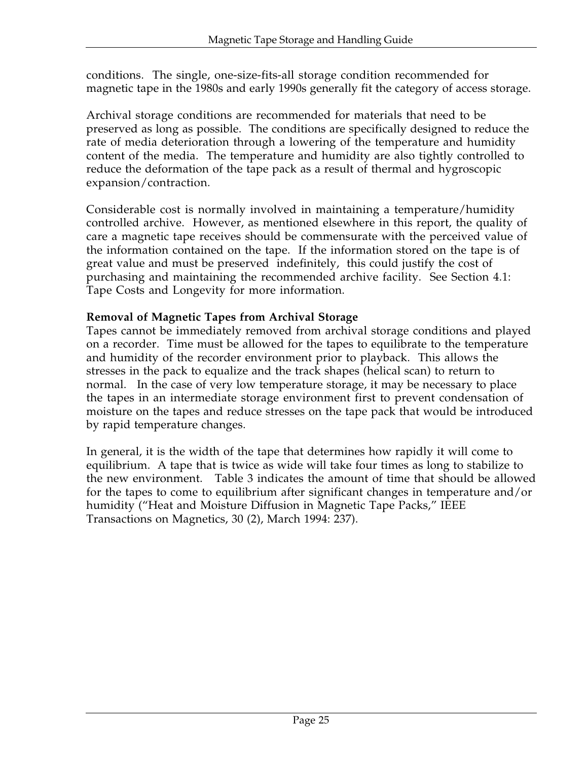conditions. The single, one-size-fits-all storage condition recommended for magnetic tape in the 1980s and early 1990s generally fit the category of access storage.

Archival storage conditions are recommended for materials that need to be preserved as long as possible. The conditions are specifically designed to reduce the rate of media deterioration through a lowering of the temperature and humidity content of the media. The temperature and humidity are also tightly controlled to reduce the deformation of the tape pack as a result of thermal and hygroscopic expansion/contraction.

Considerable cost is normally involved in maintaining a temperature/humidity controlled archive. However, as mentioned elsewhere in this report, the quality of care a magnetic tape receives should be commensurate with the perceived value of the information contained on the tape. If the information stored on the tape is of great value and must be preserved indefinitely, this could justify the cost of purchasing and maintaining the recommended archive facility. See Section 4.1: Tape Costs and Longevity for more information.

### **Removal of Magnetic Tapes from Archival Storage**

Tapes cannot be immediately removed from archival storage conditions and played on a recorder. Time must be allowed for the tapes to equilibrate to the temperature and humidity of the recorder environment prior to playback. This allows the stresses in the pack to equalize and the track shapes (helical scan) to return to normal. In the case of very low temperature storage, it may be necessary to place the tapes in an intermediate storage environment first to prevent condensation of moisture on the tapes and reduce stresses on the tape pack that would be introduced by rapid temperature changes.

In general, it is the width of the tape that determines how rapidly it will come to equilibrium. A tape that is twice as wide will take four times as long to stabilize to the new environment. Table 3 indicates the amount of time that should be allowed for the tapes to come to equilibrium after significant changes in temperature and/or humidity ("Heat and Moisture Diffusion in Magnetic Tape Packs," IEEE Transactions on Magnetics, 30 (2), March 1994: 237).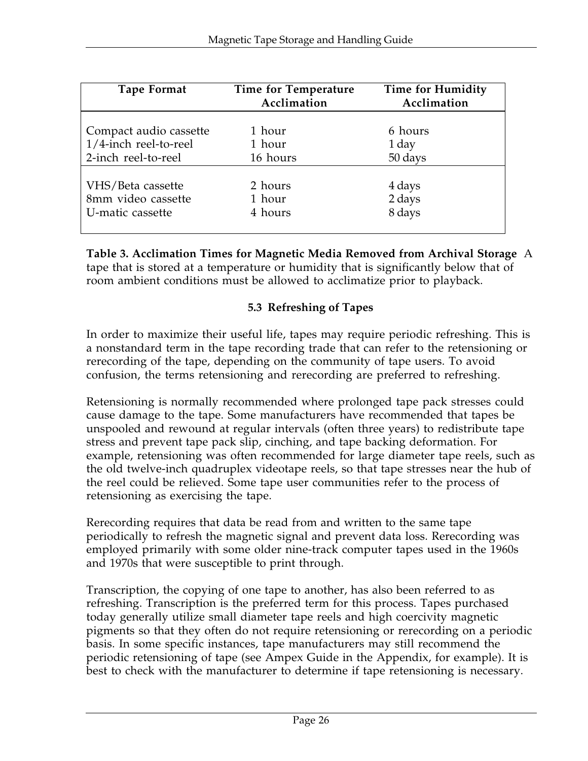| Time for Temperature<br>Acclimation | <b>Time for Humidity</b><br>Acclimation |
|-------------------------------------|-----------------------------------------|
|                                     |                                         |
|                                     | 6 hours                                 |
| 1 hour                              | 1 day                                   |
| 16 hours                            | 50 days                                 |
|                                     |                                         |
|                                     | 4 days                                  |
| 1 hour                              | 2 days                                  |
| 4 hours                             | 8 days                                  |
|                                     | 1 hour<br>2 hours                       |

**Table 3. Acclimation Times for Magnetic Media Removed from Archival Storage** A tape that is stored at a temperature or humidity that is significantly below that of room ambient conditions must be allowed to acclimatize prior to playback.

#### **5.3 Refreshing of Tapes**

In order to maximize their useful life, tapes may require periodic refreshing. This is a nonstandard term in the tape recording trade that can refer to the retensioning or rerecording of the tape, depending on the community of tape users. To avoid confusion, the terms retensioning and rerecording are preferred to refreshing.

Retensioning is normally recommended where prolonged tape pack stresses could cause damage to the tape. Some manufacturers have recommended that tapes be unspooled and rewound at regular intervals (often three years) to redistribute tape stress and prevent tape pack slip, cinching, and tape backing deformation. For example, retensioning was often recommended for large diameter tape reels, such as the old twelve-inch quadruplex videotape reels, so that tape stresses near the hub of the reel could be relieved. Some tape user communities refer to the process of retensioning as exercising the tape.

Rerecording requires that data be read from and written to the same tape periodically to refresh the magnetic signal and prevent data loss. Rerecording was employed primarily with some older nine-track computer tapes used in the 1960s and 1970s that were susceptible to print through.

Transcription, the copying of one tape to another, has also been referred to as refreshing. Transcription is the preferred term for this process. Tapes purchased today generally utilize small diameter tape reels and high coercivity magnetic pigments so that they often do not require retensioning or rerecording on a periodic basis. In some specific instances, tape manufacturers may still recommend the periodic retensioning of tape (see Ampex Guide in the Appendix, for example). It is best to check with the manufacturer to determine if tape retensioning is necessary.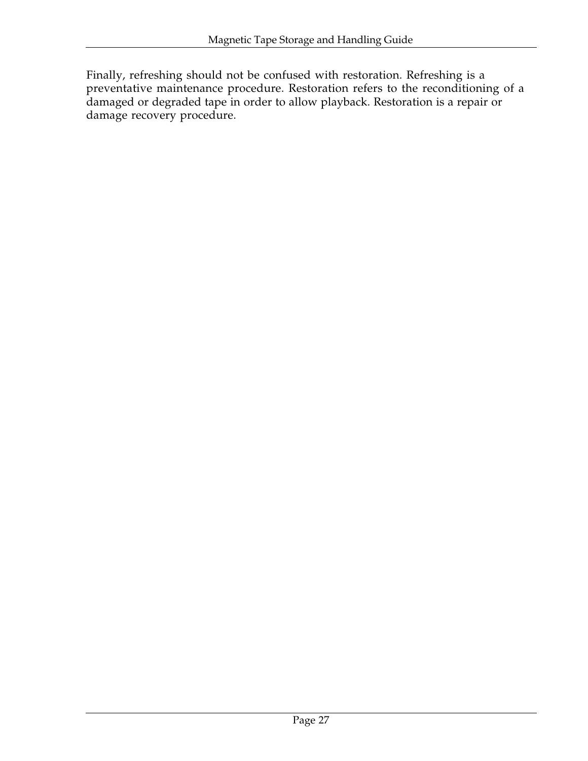Finally, refreshing should not be confused with restoration. Refreshing is a preventative maintenance procedure. Restoration refers to the reconditioning of a damaged or degraded tape in order to allow playback. Restoration is a repair or damage recovery procedure.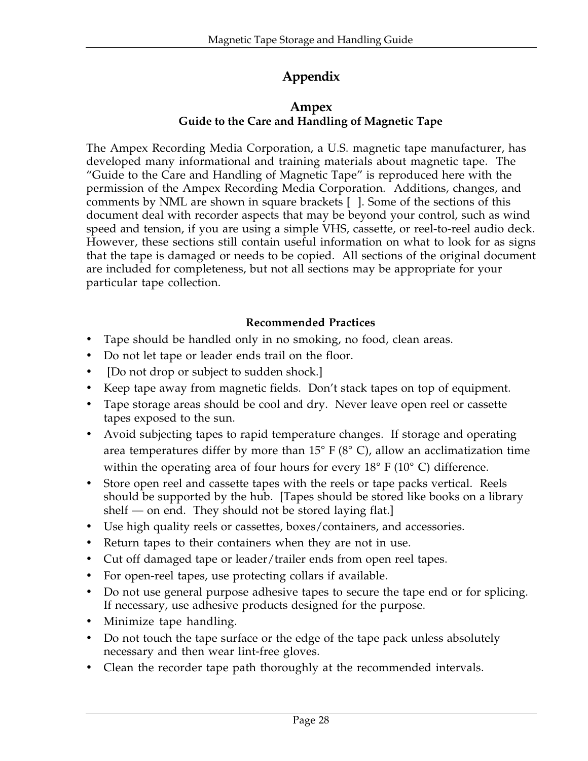# **Appendix**

#### **Ampex Guide to the Care and Handling of Magnetic Tape**

The Ampex Recording Media Corporation, a U.S. magnetic tape manufacturer, has developed many informational and training materials about magnetic tape. The "Guide to the Care and Handling of Magnetic Tape" is reproduced here with the permission of the Ampex Recording Media Corporation. Additions, changes, and comments by NML are shown in square brackets [ ]. Some of the sections of this document deal with recorder aspects that may be beyond your control, such as wind speed and tension, if you are using a simple VHS, cassette, or reel-to-reel audio deck. However, these sections still contain useful information on what to look for as signs that the tape is damaged or needs to be copied. All sections of the original document are included for completeness, but not all sections may be appropriate for your particular tape collection.

### **Recommended Practices**

- Tape should be handled only in no smoking, no food, clean areas.
- Do not let tape or leader ends trail on the floor.
- [Do not drop or subject to sudden shock.]
- Keep tape away from magnetic fields. Don't stack tapes on top of equipment.
- Tape storage areas should be cool and dry. Never leave open reel or cassette tapes exposed to the sun.
- Avoid subjecting tapes to rapid temperature changes. If storage and operating area temperatures differ by more than  $15^{\circ}$  F (8 $^{\circ}$  C), allow an acclimatization time within the operating area of four hours for every 18° F (10° C) difference.
- Store open reel and cassette tapes with the reels or tape packs vertical. Reels should be supported by the hub. [Tapes should be stored like books on a library shelf — on end. They should not be stored laying flat.]
- Use high quality reels or cassettes, boxes/containers, and accessories.
- Return tapes to their containers when they are not in use.
- Cut off damaged tape or leader/trailer ends from open reel tapes.
- For open-reel tapes, use protecting collars if available.
- Do not use general purpose adhesive tapes to secure the tape end or for splicing. If necessary, use adhesive products designed for the purpose.
- Minimize tape handling.
- Do not touch the tape surface or the edge of the tape pack unless absolutely necessary and then wear lint-free gloves.
- Clean the recorder tape path thoroughly at the recommended intervals.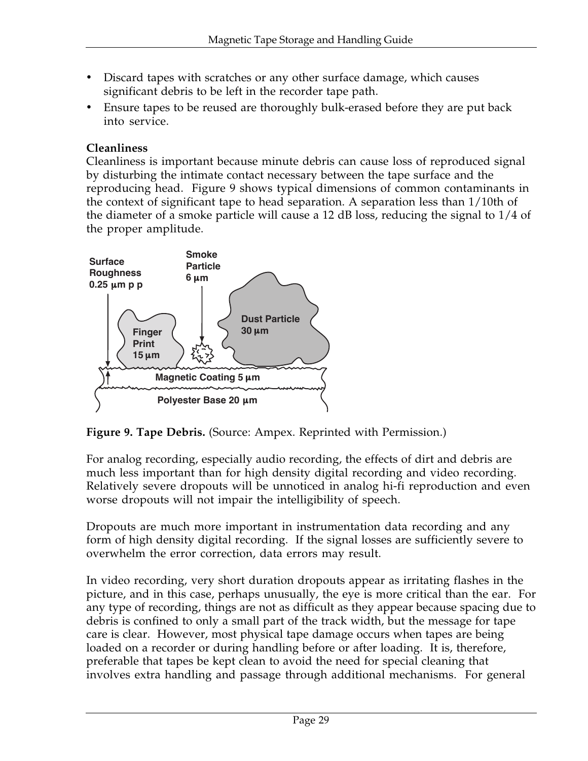- Discard tapes with scratches or any other surface damage, which causes significant debris to be left in the recorder tape path.
- Ensure tapes to be reused are thoroughly bulk-erased before they are put back into service.

### **Cleanliness**

Cleanliness is important because minute debris can cause loss of reproduced signal by disturbing the intimate contact necessary between the tape surface and the reproducing head. Figure 9 shows typical dimensions of common contaminants in the context of significant tape to head separation. A separation less than 1/10th of the diameter of a smoke particle will cause a 12 dB loss, reducing the signal to 1/4 of the proper amplitude.



**Figure 9. Tape Debris.** (Source: Ampex. Reprinted with Permission.)

For analog recording, especially audio recording, the effects of dirt and debris are much less important than for high density digital recording and video recording. Relatively severe dropouts will be unnoticed in analog hi-fi reproduction and even worse dropouts will not impair the intelligibility of speech.

Dropouts are much more important in instrumentation data recording and any form of high density digital recording. If the signal losses are sufficiently severe to overwhelm the error correction, data errors may result.

In video recording, very short duration dropouts appear as irritating flashes in the picture, and in this case, perhaps unusually, the eye is more critical than the ear. For any type of recording, things are not as difficult as they appear because spacing due to debris is confined to only a small part of the track width, but the message for tape care is clear. However, most physical tape damage occurs when tapes are being loaded on a recorder or during handling before or after loading. It is, therefore, preferable that tapes be kept clean to avoid the need for special cleaning that involves extra handling and passage through additional mechanisms. For general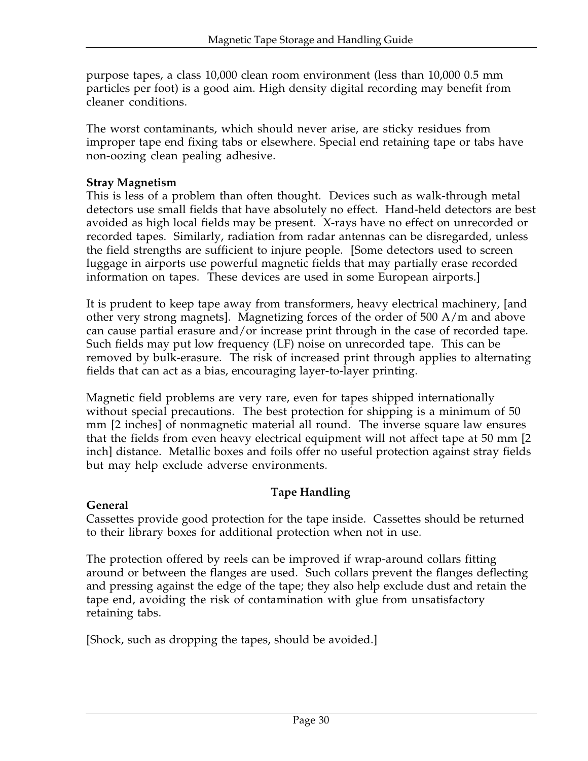purpose tapes, a class 10,000 clean room environment (less than 10,000 0.5 mm particles per foot) is a good aim. High density digital recording may benefit from cleaner conditions.

The worst contaminants, which should never arise, are sticky residues from improper tape end fixing tabs or elsewhere. Special end retaining tape or tabs have non-oozing clean pealing adhesive.

#### **Stray Magnetism**

This is less of a problem than often thought. Devices such as walk-through metal detectors use small fields that have absolutely no effect. Hand-held detectors are best avoided as high local fields may be present. X-rays have no effect on unrecorded or recorded tapes. Similarly, radiation from radar antennas can be disregarded, unless the field strengths are sufficient to injure people. [Some detectors used to screen luggage in airports use powerful magnetic fields that may partially erase recorded information on tapes. These devices are used in some European airports.]

It is prudent to keep tape away from transformers, heavy electrical machinery, [and other very strong magnets]. Magnetizing forces of the order of 500 A/m and above can cause partial erasure and/or increase print through in the case of recorded tape. Such fields may put low frequency (LF) noise on unrecorded tape. This can be removed by bulk-erasure. The risk of increased print through applies to alternating fields that can act as a bias, encouraging layer-to-layer printing.

Magnetic field problems are very rare, even for tapes shipped internationally without special precautions. The best protection for shipping is a minimum of 50 mm [2 inches] of nonmagnetic material all round. The inverse square law ensures that the fields from even heavy electrical equipment will not affect tape at 50 mm [2 inch] distance. Metallic boxes and foils offer no useful protection against stray fields but may help exclude adverse environments.

#### **Tape Handling**

#### **General**

Cassettes provide good protection for the tape inside. Cassettes should be returned to their library boxes for additional protection when not in use.

The protection offered by reels can be improved if wrap-around collars fitting around or between the flanges are used. Such collars prevent the flanges deflecting and pressing against the edge of the tape; they also help exclude dust and retain the tape end, avoiding the risk of contamination with glue from unsatisfactory retaining tabs.

[Shock, such as dropping the tapes, should be avoided.]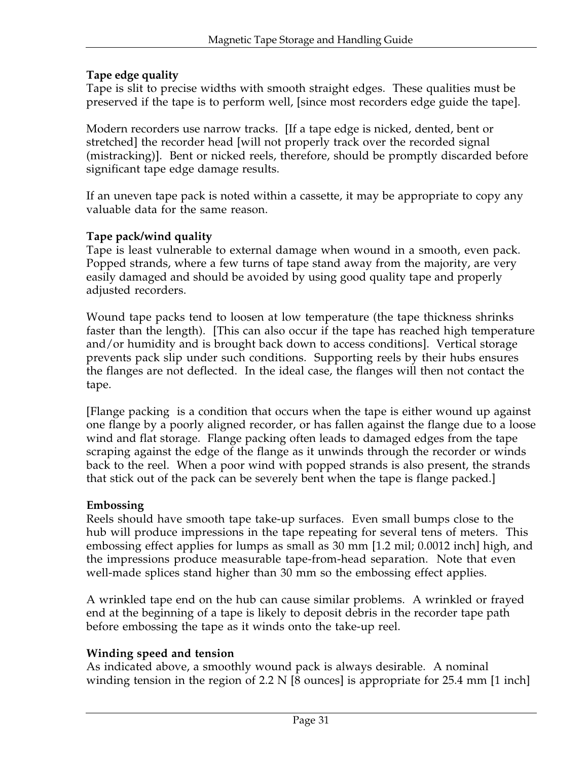#### **Tape edge quality**

Tape is slit to precise widths with smooth straight edges. These qualities must be preserved if the tape is to perform well, [since most recorders edge guide the tape].

Modern recorders use narrow tracks. [If a tape edge is nicked, dented, bent or stretched] the recorder head [will not properly track over the recorded signal (mistracking)]. Bent or nicked reels, therefore, should be promptly discarded before significant tape edge damage results.

If an uneven tape pack is noted within a cassette, it may be appropriate to copy any valuable data for the same reason.

### **Tape pack/wind quality**

Tape is least vulnerable to external damage when wound in a smooth, even pack. Popped strands, where a few turns of tape stand away from the majority, are very easily damaged and should be avoided by using good quality tape and properly adjusted recorders.

Wound tape packs tend to loosen at low temperature (the tape thickness shrinks faster than the length). [This can also occur if the tape has reached high temperature and/or humidity and is brought back down to access conditions]. Vertical storage prevents pack slip under such conditions. Supporting reels by their hubs ensures the flanges are not deflected. In the ideal case, the flanges will then not contact the tape.

[Flange packing is a condition that occurs when the tape is either wound up against one flange by a poorly aligned recorder, or has fallen against the flange due to a loose wind and flat storage. Flange packing often leads to damaged edges from the tape scraping against the edge of the flange as it unwinds through the recorder or winds back to the reel. When a poor wind with popped strands is also present, the strands that stick out of the pack can be severely bent when the tape is flange packed.]

#### **Embossing**

Reels should have smooth tape take-up surfaces. Even small bumps close to the hub will produce impressions in the tape repeating for several tens of meters. This embossing effect applies for lumps as small as 30 mm [1.2 mil; 0.0012 inch] high, and the impressions produce measurable tape-from-head separation. Note that even well-made splices stand higher than 30 mm so the embossing effect applies.

A wrinkled tape end on the hub can cause similar problems. A wrinkled or frayed end at the beginning of a tape is likely to deposit debris in the recorder tape path before embossing the tape as it winds onto the take-up reel.

#### **Winding speed and tension**

As indicated above, a smoothly wound pack is always desirable. A nominal winding tension in the region of 2.2 N [8 ounces] is appropriate for 25.4 mm [1 inch]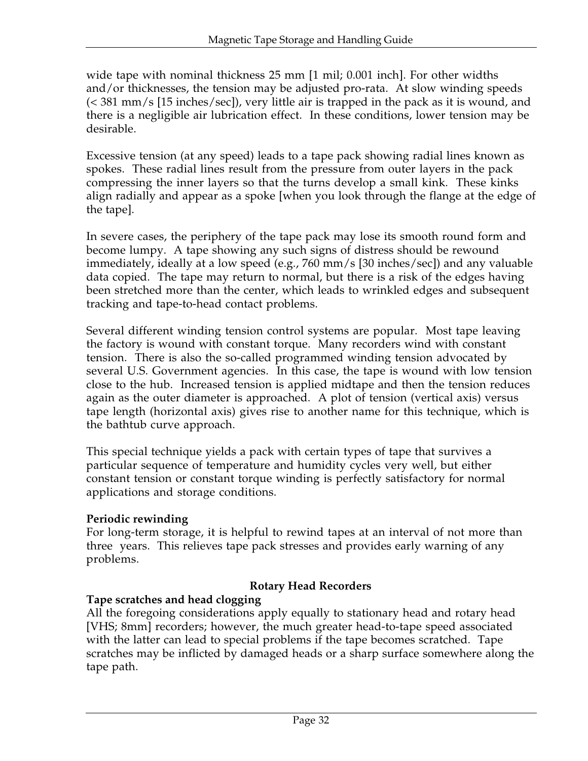wide tape with nominal thickness 25 mm [1 mil; 0.001 inch]. For other widths and/or thicknesses, the tension may be adjusted pro-rata. At slow winding speeds (< 381 mm/s [15 inches/sec]), very little air is trapped in the pack as it is wound, and there is a negligible air lubrication effect. In these conditions, lower tension may be desirable.

Excessive tension (at any speed) leads to a tape pack showing radial lines known as spokes. These radial lines result from the pressure from outer layers in the pack compressing the inner layers so that the turns develop a small kink. These kinks align radially and appear as a spoke [when you look through the flange at the edge of the tape].

In severe cases, the periphery of the tape pack may lose its smooth round form and become lumpy. A tape showing any such signs of distress should be rewound immediately, ideally at a low speed (e.g., 760 mm/s [30 inches/sec]) and any valuable data copied. The tape may return to normal, but there is a risk of the edges having been stretched more than the center, which leads to wrinkled edges and subsequent tracking and tape-to-head contact problems.

Several different winding tension control systems are popular. Most tape leaving the factory is wound with constant torque. Many recorders wind with constant tension. There is also the so-called programmed winding tension advocated by several U.S. Government agencies. In this case, the tape is wound with low tension close to the hub. Increased tension is applied midtape and then the tension reduces again as the outer diameter is approached. A plot of tension (vertical axis) versus tape length (horizontal axis) gives rise to another name for this technique, which is the bathtub curve approach.

This special technique yields a pack with certain types of tape that survives a particular sequence of temperature and humidity cycles very well, but either constant tension or constant torque winding is perfectly satisfactory for normal applications and storage conditions.

### **Periodic rewinding**

For long-term storage, it is helpful to rewind tapes at an interval of not more than three years. This relieves tape pack stresses and provides early warning of any problems.

### **Rotary Head Recorders**

### **Tape scratches and head clogging**

All the foregoing considerations apply equally to stationary head and rotary head [VHS; 8mm] recorders; however, the much greater head-to-tape speed associated with the latter can lead to special problems if the tape becomes scratched. Tape scratches may be inflicted by damaged heads or a sharp surface somewhere along the tape path.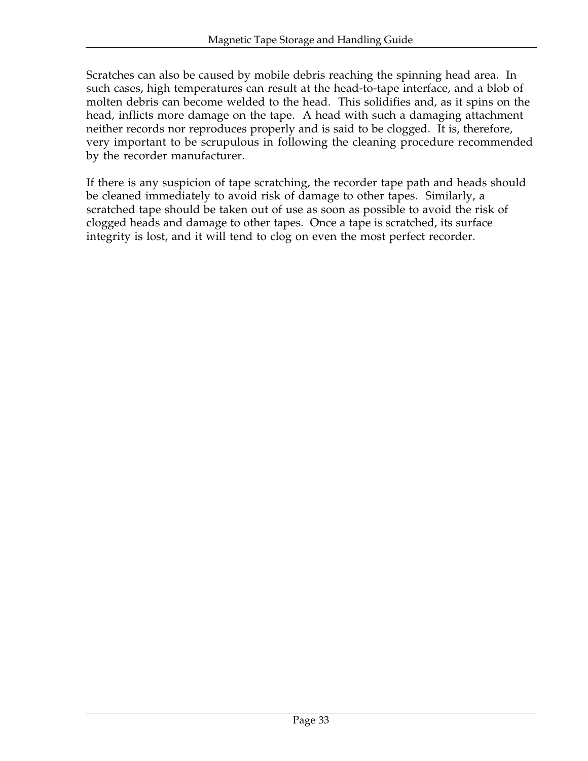Scratches can also be caused by mobile debris reaching the spinning head area. In such cases, high temperatures can result at the head-to-tape interface, and a blob of molten debris can become welded to the head. This solidifies and, as it spins on the head, inflicts more damage on the tape. A head with such a damaging attachment neither records nor reproduces properly and is said to be clogged. It is, therefore, very important to be scrupulous in following the cleaning procedure recommended by the recorder manufacturer.

If there is any suspicion of tape scratching, the recorder tape path and heads should be cleaned immediately to avoid risk of damage to other tapes. Similarly, a scratched tape should be taken out of use as soon as possible to avoid the risk of clogged heads and damage to other tapes. Once a tape is scratched, its surface integrity is lost, and it will tend to clog on even the most perfect recorder.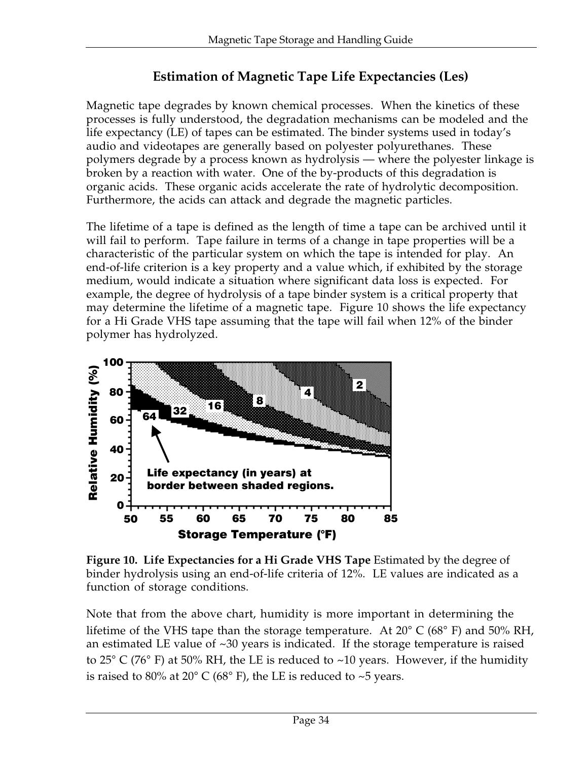# **Estimation of Magnetic Tape Life Expectancies (Les)**

Magnetic tape degrades by known chemical processes. When the kinetics of these processes is fully understood, the degradation mechanisms can be modeled and the life expectancy (LE) of tapes can be estimated. The binder systems used in today's audio and videotapes are generally based on polyester polyurethanes. These polymers degrade by a process known as hydrolysis — where the polyester linkage is broken by a reaction with water. One of the by-products of this degradation is organic acids. These organic acids accelerate the rate of hydrolytic decomposition. Furthermore, the acids can attack and degrade the magnetic particles.

The lifetime of a tape is defined as the length of time a tape can be archived until it will fail to perform. Tape failure in terms of a change in tape properties will be a characteristic of the particular system on which the tape is intended for play. An end-of-life criterion is a key property and a value which, if exhibited by the storage medium, would indicate a situation where significant data loss is expected. For example, the degree of hydrolysis of a tape binder system is a critical property that may determine the lifetime of a magnetic tape. Figure 10 shows the life expectancy for a Hi Grade VHS tape assuming that the tape will fail when 12% of the binder polymer has hydrolyzed.



**Figure 10. Life Expectancies for a Hi Grade VHS Tape** Estimated by the degree of binder hydrolysis using an end-of-life criteria of 12%. LE values are indicated as a function of storage conditions.

Note that from the above chart, humidity is more important in determining the lifetime of the VHS tape than the storage temperature. At 20° C (68° F) and 50% RH, an estimated LE value of  $\sim$ 30 years is indicated. If the storage temperature is raised to 25 $\degree$  C (76 $\degree$  F) at 50% RH, the LE is reduced to ~10 years. However, if the humidity is raised to 80% at 20 $^{\circ}$  C (68 $^{\circ}$  F), the LE is reduced to  $\sim$ 5 years.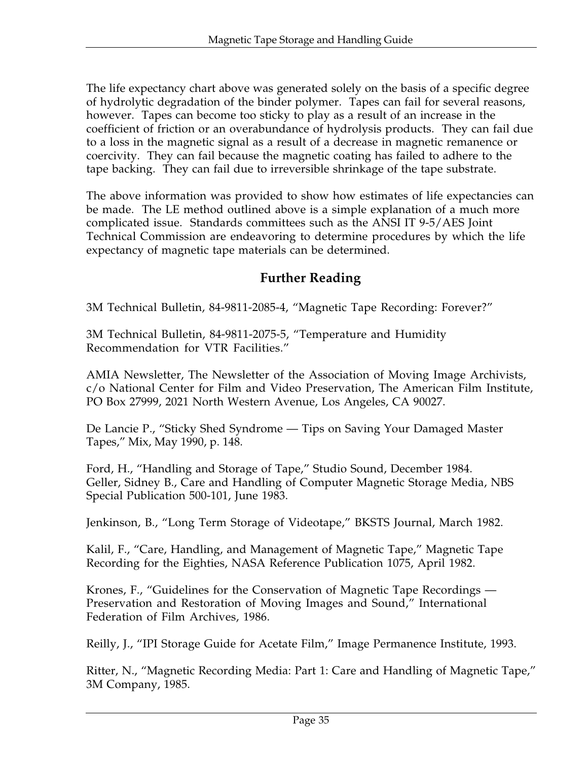The life expectancy chart above was generated solely on the basis of a specific degree of hydrolytic degradation of the binder polymer. Tapes can fail for several reasons, however. Tapes can become too sticky to play as a result of an increase in the coefficient of friction or an overabundance of hydrolysis products. They can fail due to a loss in the magnetic signal as a result of a decrease in magnetic remanence or coercivity. They can fail because the magnetic coating has failed to adhere to the tape backing. They can fail due to irreversible shrinkage of the tape substrate.

The above information was provided to show how estimates of life expectancies can be made. The LE method outlined above is a simple explanation of a much more complicated issue. Standards committees such as the ANSI IT 9-5/AES Joint Technical Commission are endeavoring to determine procedures by which the life expectancy of magnetic tape materials can be determined.

# **Further Reading**

3M Technical Bulletin, 84-9811-2085-4, "Magnetic Tape Recording: Forever?"

3M Technical Bulletin, 84-9811-2075-5, "Temperature and Humidity Recommendation for VTR Facilities."

AMIA Newsletter, The Newsletter of the Association of Moving Image Archivists, c/o National Center for Film and Video Preservation, The American Film Institute, PO Box 27999, 2021 North Western Avenue, Los Angeles, CA 90027.

De Lancie P., "Sticky Shed Syndrome — Tips on Saving Your Damaged Master Tapes," Mix, May 1990, p. 148.

Ford, H., "Handling and Storage of Tape," Studio Sound, December 1984. Geller, Sidney B., Care and Handling of Computer Magnetic Storage Media, NBS Special Publication 500-101, June 1983.

Jenkinson, B., "Long Term Storage of Videotape," BKSTS Journal, March 1982.

Kalil, F., "Care, Handling, and Management of Magnetic Tape," Magnetic Tape Recording for the Eighties, NASA Reference Publication 1075, April 1982.

Krones, F., "Guidelines for the Conservation of Magnetic Tape Recordings — Preservation and Restoration of Moving Images and Sound," International Federation of Film Archives, 1986.

Reilly, J., "IPI Storage Guide for Acetate Film," Image Permanence Institute, 1993.

Ritter, N., "Magnetic Recording Media: Part 1: Care and Handling of Magnetic Tape," 3M Company, 1985.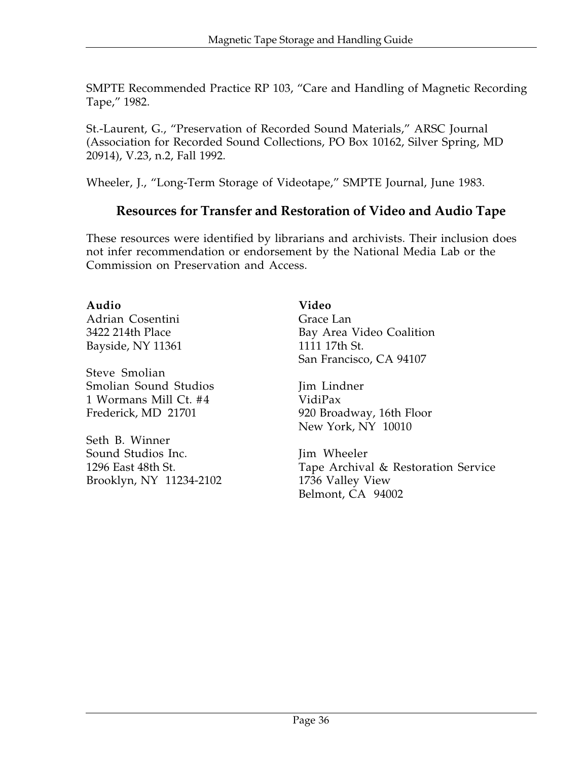SMPTE Recommended Practice RP 103, "Care and Handling of Magnetic Recording Tape," 1982.

St.-Laurent, G., "Preservation of Recorded Sound Materials," ARSC Journal (Association for Recorded Sound Collections, PO Box 10162, Silver Spring, MD 20914), V.23, n.2, Fall 1992.

Wheeler, J., "Long-Term Storage of Videotape," SMPTE Journal, June 1983.

# **Resources for Transfer and Restoration of Video and Audio Tape**

These resources were identified by librarians and archivists. Their inclusion does not infer recommendation or endorsement by the National Media Lab or the Commission on Preservation and Access.

#### **Audio**

Adrian Cosentini 3422 214th Place Bayside, NY 11361

Steve Smolian Smolian Sound Studios 1 Wormans Mill Ct. #4 Frederick, MD 21701

Seth B. Winner Sound Studios Inc. 1296 East 48th St. Brooklyn, NY 11234-2102

### **Video**

Grace Lan Bay Area Video Coalition 1111 17th St. San Francisco, CA 94107

Jim Lindner VidiPax 920 Broadway, 16th Floor New York, NY 10010

Jim Wheeler Tape Archival & Restoration Service 1736 Valley View Belmont, CA 94002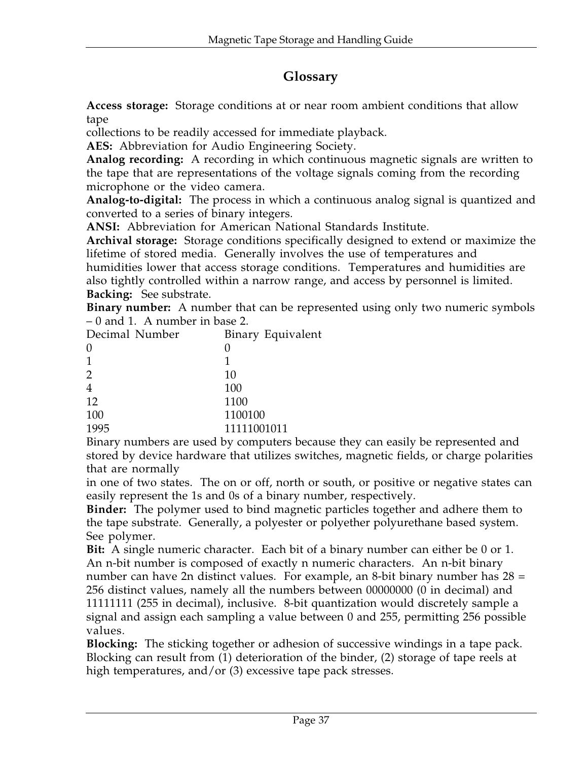# **Glossary**

**Access storage:** Storage conditions at or near room ambient conditions that allow tape

collections to be readily accessed for immediate playback.

**AES:** Abbreviation for Audio Engineering Society.

**Analog recording:** A recording in which continuous magnetic signals are written to the tape that are representations of the voltage signals coming from the recording microphone or the video camera.

**Analog-to-digital:** The process in which a continuous analog signal is quantized and converted to a series of binary integers.

**ANSI:** Abbreviation for American National Standards Institute.

**Archival storage:** Storage conditions specifically designed to extend or maximize the lifetime of stored media. Generally involves the use of temperatures and

humidities lower that access storage conditions. Temperatures and humidities are also tightly controlled within a narrow range, and access by personnel is limited. **Backing:** See substrate.

**Binary number:** A number that can be represented using only two numeric symbols – 0 and 1. A number in base 2.

| Binary Equivalent |  |
|-------------------|--|
|                   |  |
|                   |  |
| 10                |  |
| 100               |  |
| 1100              |  |
| 1100100           |  |
| 11111001011       |  |
|                   |  |

Binary numbers are used by computers because they can easily be represented and stored by device hardware that utilizes switches, magnetic fields, or charge polarities that are normally

in one of two states. The on or off, north or south, or positive or negative states can easily represent the 1s and 0s of a binary number, respectively.

**Binder:** The polymer used to bind magnetic particles together and adhere them to the tape substrate. Generally, a polyester or polyether polyurethane based system. See polymer.

**Bit:** A single numeric character. Each bit of a binary number can either be 0 or 1. An n-bit number is composed of exactly n numeric characters. An n-bit binary number can have 2n distinct values. For example, an 8-bit binary number has 28 = 256 distinct values, namely all the numbers between 00000000 (0 in decimal) and 11111111 (255 in decimal), inclusive. 8-bit quantization would discretely sample a signal and assign each sampling a value between 0 and 255, permitting 256 possible values.

**Blocking:** The sticking together or adhesion of successive windings in a tape pack. Blocking can result from (1) deterioration of the binder, (2) storage of tape reels at high temperatures, and/or (3) excessive tape pack stresses.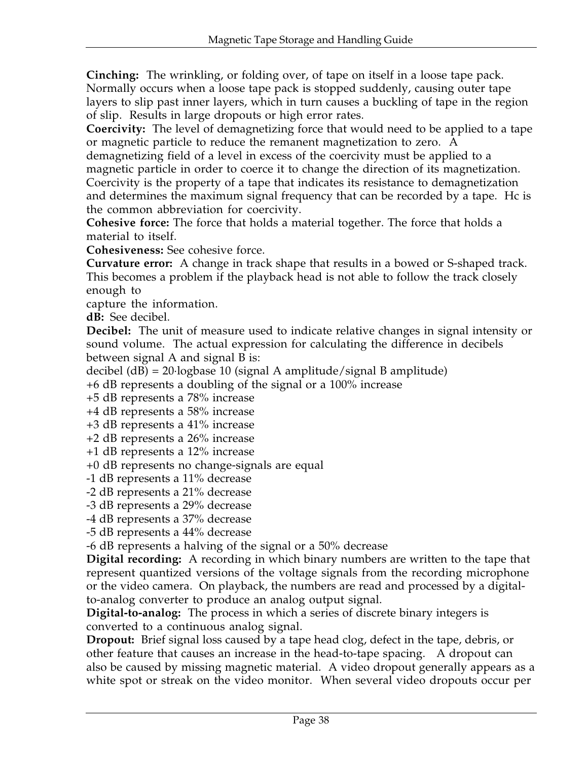**Cinching:** The wrinkling, or folding over, of tape on itself in a loose tape pack. Normally occurs when a loose tape pack is stopped suddenly, causing outer tape layers to slip past inner layers, which in turn causes a buckling of tape in the region of slip. Results in large dropouts or high error rates.

**Coercivity:** The level of demagnetizing force that would need to be applied to a tape or magnetic particle to reduce the remanent magnetization to zero. A

demagnetizing field of a level in excess of the coercivity must be applied to a magnetic particle in order to coerce it to change the direction of its magnetization. Coercivity is the property of a tape that indicates its resistance to demagnetization and determines the maximum signal frequency that can be recorded by a tape. Hc is the common abbreviation for coercivity.

**Cohesive force:** The force that holds a material together. The force that holds a material to itself.

**Cohesiveness:** See cohesive force.

**Curvature error:** A change in track shape that results in a bowed or S-shaped track. This becomes a problem if the playback head is not able to follow the track closely enough to

capture the information.

**dB:** See decibel.

**Decibel:** The unit of measure used to indicate relative changes in signal intensity or sound volume. The actual expression for calculating the difference in decibels between signal A and signal B is:

decibel (dB) = 20·logbase 10 (signal A amplitude/signal B amplitude)

+6 dB represents a doubling of the signal or a 100% increase

+5 dB represents a 78% increase

+4 dB represents a 58% increase

+3 dB represents a 41% increase

+2 dB represents a 26% increase

+1 dB represents a 12% increase

+0 dB represents no change-signals are equal

-1 dB represents a 11% decrease

-2 dB represents a 21% decrease

-3 dB represents a 29% decrease

-4 dB represents a 37% decrease

-5 dB represents a 44% decrease

-6 dB represents a halving of the signal or a 50% decrease

**Digital recording:** A recording in which binary numbers are written to the tape that represent quantized versions of the voltage signals from the recording microphone or the video camera. On playback, the numbers are read and processed by a digitalto-analog converter to produce an analog output signal.

**Digital-to-analog:** The process in which a series of discrete binary integers is converted to a continuous analog signal.

**Dropout:** Brief signal loss caused by a tape head clog, defect in the tape, debris, or other feature that causes an increase in the head-to-tape spacing. A dropout can also be caused by missing magnetic material. A video dropout generally appears as a white spot or streak on the video monitor. When several video dropouts occur per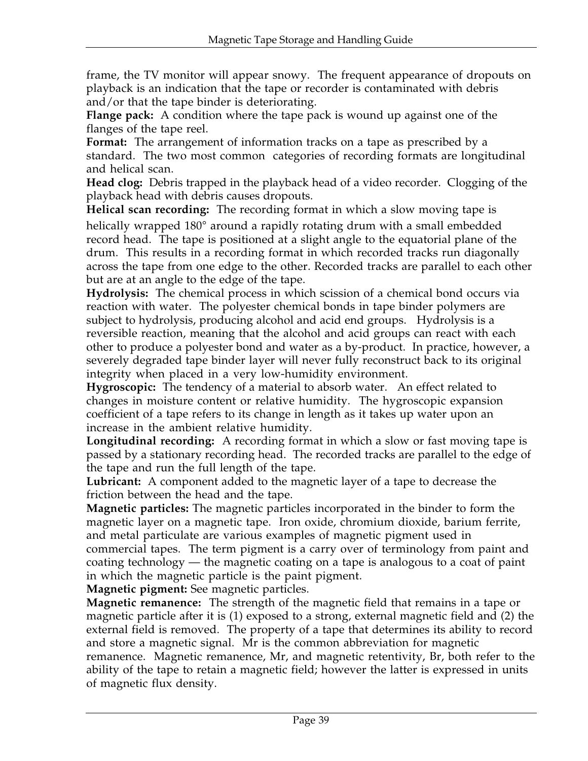frame, the TV monitor will appear snowy. The frequent appearance of dropouts on playback is an indication that the tape or recorder is contaminated with debris and/or that the tape binder is deteriorating.

**Flange pack:** A condition where the tape pack is wound up against one of the flanges of the tape reel.

**Format:** The arrangement of information tracks on a tape as prescribed by a standard. The two most common categories of recording formats are longitudinal and helical scan.

**Head clog:** Debris trapped in the playback head of a video recorder. Clogging of the playback head with debris causes dropouts.

**Helical scan recording:** The recording format in which a slow moving tape is

helically wrapped 180° around a rapidly rotating drum with a small embedded record head. The tape is positioned at a slight angle to the equatorial plane of the drum. This results in a recording format in which recorded tracks run diagonally across the tape from one edge to the other. Recorded tracks are parallel to each other but are at an angle to the edge of the tape.

**Hydrolysis:** The chemical process in which scission of a chemical bond occurs via reaction with water. The polyester chemical bonds in tape binder polymers are subject to hydrolysis, producing alcohol and acid end groups. Hydrolysis is a reversible reaction, meaning that the alcohol and acid groups can react with each other to produce a polyester bond and water as a by-product. In practice, however, a severely degraded tape binder layer will never fully reconstruct back to its original integrity when placed in a very low-humidity environment.

**Hygroscopic:** The tendency of a material to absorb water. An effect related to changes in moisture content or relative humidity. The hygroscopic expansion coefficient of a tape refers to its change in length as it takes up water upon an increase in the ambient relative humidity.

**Longitudinal recording:** A recording format in which a slow or fast moving tape is passed by a stationary recording head. The recorded tracks are parallel to the edge of the tape and run the full length of the tape.

**Lubricant:** A component added to the magnetic layer of a tape to decrease the friction between the head and the tape.

**Magnetic particles:** The magnetic particles incorporated in the binder to form the magnetic layer on a magnetic tape. Iron oxide, chromium dioxide, barium ferrite, and metal particulate are various examples of magnetic pigment used in

commercial tapes. The term pigment is a carry over of terminology from paint and coating technology — the magnetic coating on a tape is analogous to a coat of paint in which the magnetic particle is the paint pigment.

**Magnetic pigment:** See magnetic particles.

**Magnetic remanence:** The strength of the magnetic field that remains in a tape or magnetic particle after it is (1) exposed to a strong, external magnetic field and (2) the external field is removed. The property of a tape that determines its ability to record and store a magnetic signal. Mr is the common abbreviation for magnetic remanence. Magnetic remanence, Mr, and magnetic retentivity, Br, both refer to the ability of the tape to retain a magnetic field; however the latter is expressed in units of magnetic flux density.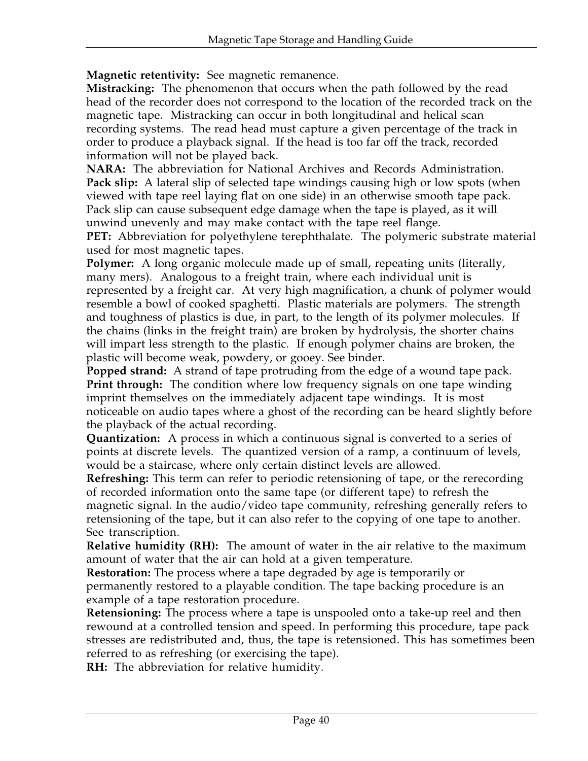**Magnetic retentivity:** See magnetic remanence.

**Mistracking:** The phenomenon that occurs when the path followed by the read head of the recorder does not correspond to the location of the recorded track on the magnetic tape. Mistracking can occur in both longitudinal and helical scan recording systems. The read head must capture a given percentage of the track in order to produce a playback signal. If the head is too far off the track, recorded information will not be played back.

**NARA:** The abbreviation for National Archives and Records Administration. **Pack slip:** A lateral slip of selected tape windings causing high or low spots (when viewed with tape reel laying flat on one side) in an otherwise smooth tape pack. Pack slip can cause subsequent edge damage when the tape is played, as it will unwind unevenly and may make contact with the tape reel flange.

**PET:** Abbreviation for polyethylene terephthalate. The polymeric substrate material used for most magnetic tapes.

**Polymer:** A long organic molecule made up of small, repeating units (literally, many mers). Analogous to a freight train, where each individual unit is represented by a freight car. At very high magnification, a chunk of polymer would resemble a bowl of cooked spaghetti. Plastic materials are polymers. The strength and toughness of plastics is due, in part, to the length of its polymer molecules. If the chains (links in the freight train) are broken by hydrolysis, the shorter chains will impart less strength to the plastic. If enough polymer chains are broken, the plastic will become weak, powdery, or gooey. See binder.

**Popped strand:** A strand of tape protruding from the edge of a wound tape pack. **Print through:** The condition where low frequency signals on one tape winding imprint themselves on the immediately adjacent tape windings. It is most noticeable on audio tapes where a ghost of the recording can be heard slightly before the playback of the actual recording.

**Quantization:** A process in which a continuous signal is converted to a series of points at discrete levels. The quantized version of a ramp, a continuum of levels, would be a staircase, where only certain distinct levels are allowed.

**Refreshing:** This term can refer to periodic retensioning of tape, or the rerecording of recorded information onto the same tape (or different tape) to refresh the magnetic signal. In the audio/video tape community, refreshing generally refers to retensioning of the tape, but it can also refer to the copying of one tape to another. See transcription.

**Relative humidity (RH):** The amount of water in the air relative to the maximum amount of water that the air can hold at a given temperature.

**Restoration:** The process where a tape degraded by age is temporarily or permanently restored to a playable condition. The tape backing procedure is an example of a tape restoration procedure.

**Retensioning:** The process where a tape is unspooled onto a take-up reel and then rewound at a controlled tension and speed. In performing this procedure, tape pack stresses are redistributed and, thus, the tape is retensioned. This has sometimes been referred to as refreshing (or exercising the tape).

**RH:** The abbreviation for relative humidity.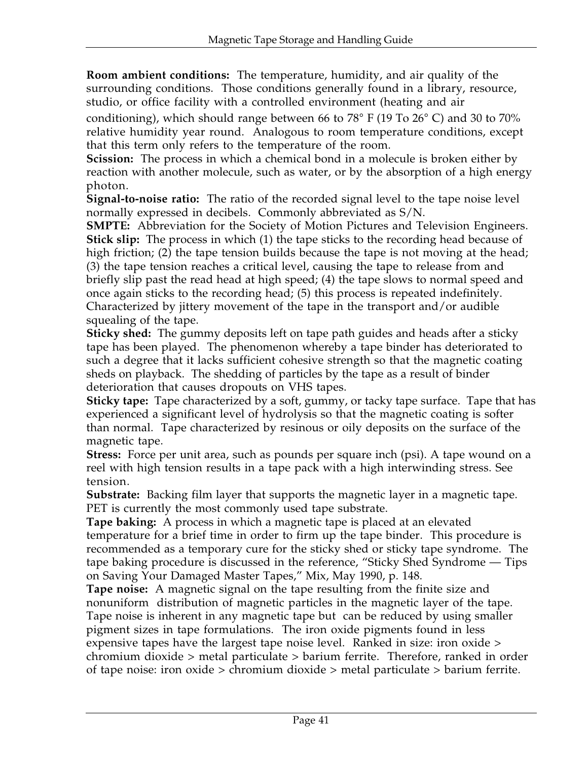**Room ambient conditions:** The temperature, humidity, and air quality of the surrounding conditions. Those conditions generally found in a library, resource, studio, or office facility with a controlled environment (heating and air

conditioning), which should range between 66 to 78° F (19 To 26° C) and 30 to 70% relative humidity year round. Analogous to room temperature conditions, except that this term only refers to the temperature of the room.

**Scission:** The process in which a chemical bond in a molecule is broken either by reaction with another molecule, such as water, or by the absorption of a high energy photon.

**Signal-to-noise ratio:** The ratio of the recorded signal level to the tape noise level normally expressed in decibels. Commonly abbreviated as S/N.

**SMPTE:** Abbreviation for the Society of Motion Pictures and Television Engineers. **Stick slip:** The process in which (1) the tape sticks to the recording head because of high friction; (2) the tape tension builds because the tape is not moving at the head; (3) the tape tension reaches a critical level, causing the tape to release from and briefly slip past the read head at high speed; (4) the tape slows to normal speed and once again sticks to the recording head; (5) this process is repeated indefinitely. Characterized by jittery movement of the tape in the transport and/or audible squealing of the tape.

**Sticky shed:** The gummy deposits left on tape path guides and heads after a sticky tape has been played. The phenomenon whereby a tape binder has deteriorated to such a degree that it lacks sufficient cohesive strength so that the magnetic coating sheds on playback. The shedding of particles by the tape as a result of binder deterioration that causes dropouts on VHS tapes.

**Sticky tape:** Tape characterized by a soft, gummy, or tacky tape surface. Tape that has experienced a significant level of hydrolysis so that the magnetic coating is softer than normal. Tape characterized by resinous or oily deposits on the surface of the magnetic tape.

**Stress:** Force per unit area, such as pounds per square inch (psi). A tape wound on a reel with high tension results in a tape pack with a high interwinding stress. See tension.

**Substrate:** Backing film layer that supports the magnetic layer in a magnetic tape. PET is currently the most commonly used tape substrate.

**Tape baking:** A process in which a magnetic tape is placed at an elevated temperature for a brief time in order to firm up the tape binder. This procedure is recommended as a temporary cure for the sticky shed or sticky tape syndrome. The tape baking procedure is discussed in the reference, "Sticky Shed Syndrome — Tips on Saving Your Damaged Master Tapes," Mix, May 1990, p. 148.

**Tape noise:** A magnetic signal on the tape resulting from the finite size and nonuniform distribution of magnetic particles in the magnetic layer of the tape. Tape noise is inherent in any magnetic tape but can be reduced by using smaller pigment sizes in tape formulations. The iron oxide pigments found in less expensive tapes have the largest tape noise level. Ranked in size: iron oxide > chromium dioxide > metal particulate > barium ferrite. Therefore, ranked in order of tape noise: iron oxide > chromium dioxide > metal particulate > barium ferrite.